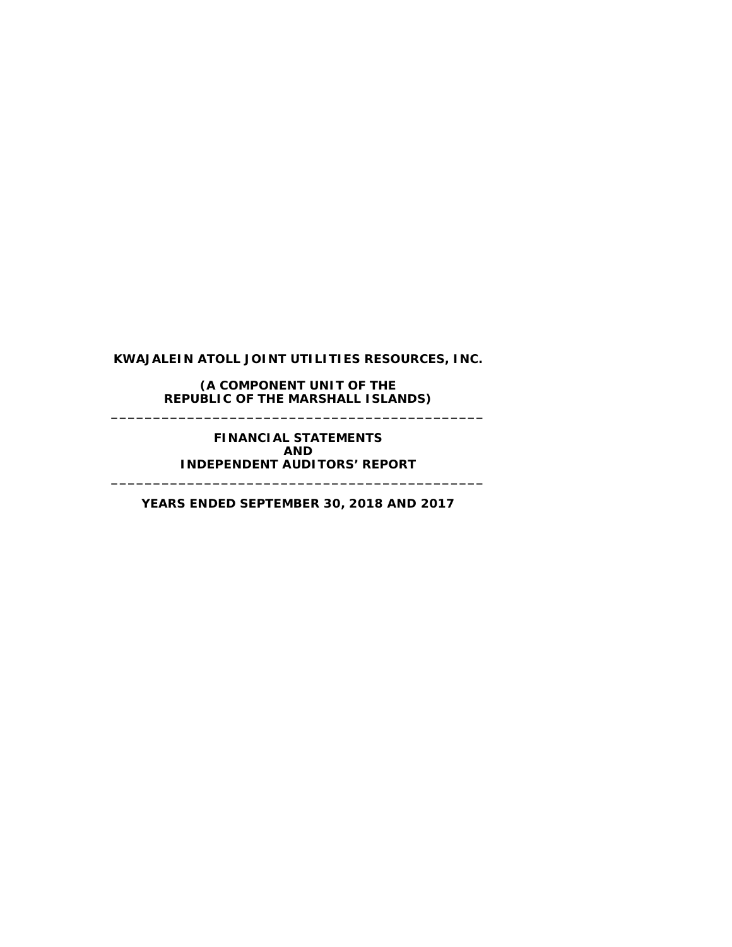**(A COMPONENT UNIT OF THE REPUBLIC OF THE MARSHALL ISLANDS) \_\_\_\_\_\_\_\_\_\_\_\_\_\_\_\_\_\_\_\_\_\_\_\_\_\_\_\_\_\_\_\_\_\_\_\_\_\_\_\_\_\_\_\_**

> **FINANCIAL STATEMENTS AND INDEPENDENT AUDITORS' REPORT**

**YEARS ENDED SEPTEMBER 30, 2018 AND 2017**

**\_\_\_\_\_\_\_\_\_\_\_\_\_\_\_\_\_\_\_\_\_\_\_\_\_\_\_\_\_\_\_\_\_\_\_\_\_\_\_\_\_\_\_\_**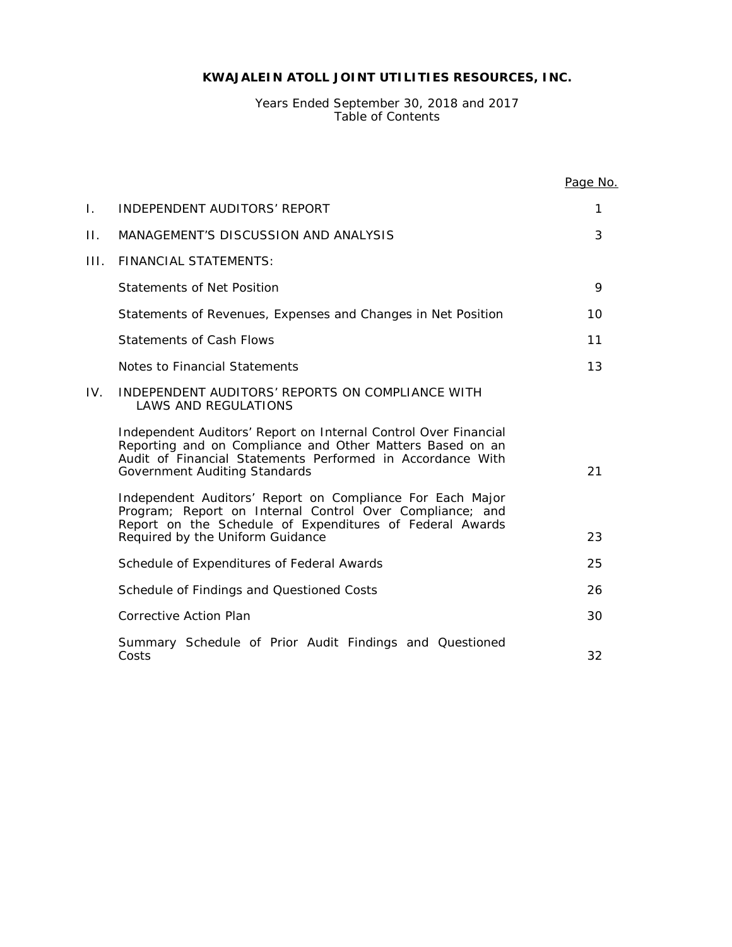Years Ended September 30, 2018 and 2017 Table of Contents

|      |                                                                                                                                                                                                                                    | Page No. |
|------|------------------------------------------------------------------------------------------------------------------------------------------------------------------------------------------------------------------------------------|----------|
| Ι.   | INDEPENDENT AUDITORS' REPORT                                                                                                                                                                                                       | 1        |
| Н.   | MANAGEMENT'S DISCUSSION AND ANALYSIS                                                                                                                                                                                               | 3        |
| III. | <b>FINANCIAL STATEMENTS:</b>                                                                                                                                                                                                       |          |
|      | Statements of Net Position                                                                                                                                                                                                         | 9        |
|      | Statements of Revenues, Expenses and Changes in Net Position                                                                                                                                                                       | 10       |
|      | <b>Statements of Cash Flows</b>                                                                                                                                                                                                    | 11       |
|      | Notes to Financial Statements                                                                                                                                                                                                      | 13       |
| IV.  | INDEPENDENT AUDITORS' REPORTS ON COMPLIANCE WITH<br><b>LAWS AND REGULATIONS</b>                                                                                                                                                    |          |
|      | Independent Auditors' Report on Internal Control Over Financial<br>Reporting and on Compliance and Other Matters Based on an<br>Audit of Financial Statements Performed in Accordance With<br><b>Government Auditing Standards</b> | 21       |
|      | Independent Auditors' Report on Compliance For Each Major<br>Program; Report on Internal Control Over Compliance; and<br>Report on the Schedule of Expenditures of Federal Awards<br>Required by the Uniform Guidance              | 23       |
|      | Schedule of Expenditures of Federal Awards                                                                                                                                                                                         | 25       |
|      | Schedule of Findings and Questioned Costs                                                                                                                                                                                          | 26       |
|      | Corrective Action Plan                                                                                                                                                                                                             | 30       |
|      | Summary Schedule of Prior Audit Findings and Questioned<br>Costs                                                                                                                                                                   | 32       |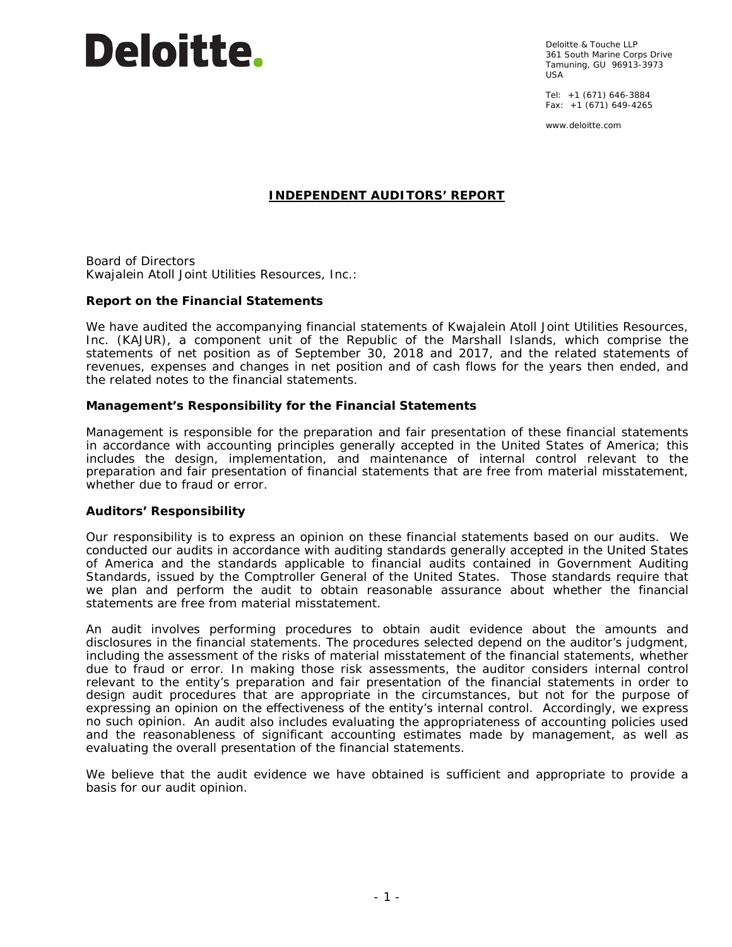# **Deloitte**.

Deloitte & Touche LLP 361 South Marine Corps Drive Tamuning, GU 96913-3973 USA

Tel: +1 (671) 646-3884 Fax:  $+1$  (671) 649-4265

www.deloitte.com

# **INDEPENDENT AUDITORS' REPORT**

Board of Directors Kwajalein Atoll Joint Utilities Resources, Inc.:

#### **Report on the Financial Statements**

We have audited the accompanying financial statements of Kwajalein Atoll Joint Utilities Resources, Inc. (KAJUR), a component unit of the Republic of the Marshall Islands, which comprise the statements of net position as of September 30, 2018 and 2017, and the related statements of revenues, expenses and changes in net position and of cash flows for the years then ended, and the related notes to the financial statements.

#### *Management's Responsibility for the Financial Statements*

Management is responsible for the preparation and fair presentation of these financial statements in accordance with accounting principles generally accepted in the United States of America; this includes the design, implementation, and maintenance of internal control relevant to the preparation and fair presentation of financial statements that are free from material misstatement, whether due to fraud or error.

#### *Auditors' Responsibility*

Our responsibility is to express an opinion on these financial statements based on our audits. We conducted our audits in accordance with auditing standards generally accepted in the United States of America and the standards applicable to financial audits contained in *Government Auditing Standards,* issued by the Comptroller General of the United States. Those standards require that we plan and perform the audit to obtain reasonable assurance about whether the financial statements are free from material misstatement.

An audit involves performing procedures to obtain audit evidence about the amounts and disclosures in the financial statements. The procedures selected depend on the auditor's judgment, including the assessment of the risks of material misstatement of the financial statements, whether due to fraud or error. In making those risk assessments, the auditor considers internal control relevant to the entity's preparation and fair presentation of the financial statements in order to design audit procedures that are appropriate in the circumstances, but not for the purpose of expressing an opinion on the effectiveness of the entity's internal control. Accordingly, we express no such opinion. An audit also includes evaluating the appropriateness of accounting policies used and the reasonableness of significant accounting estimates made by management, as well as evaluating the overall presentation of the financial statements.

We believe that the audit evidence we have obtained is sufficient and appropriate to provide a basis for our audit opinion.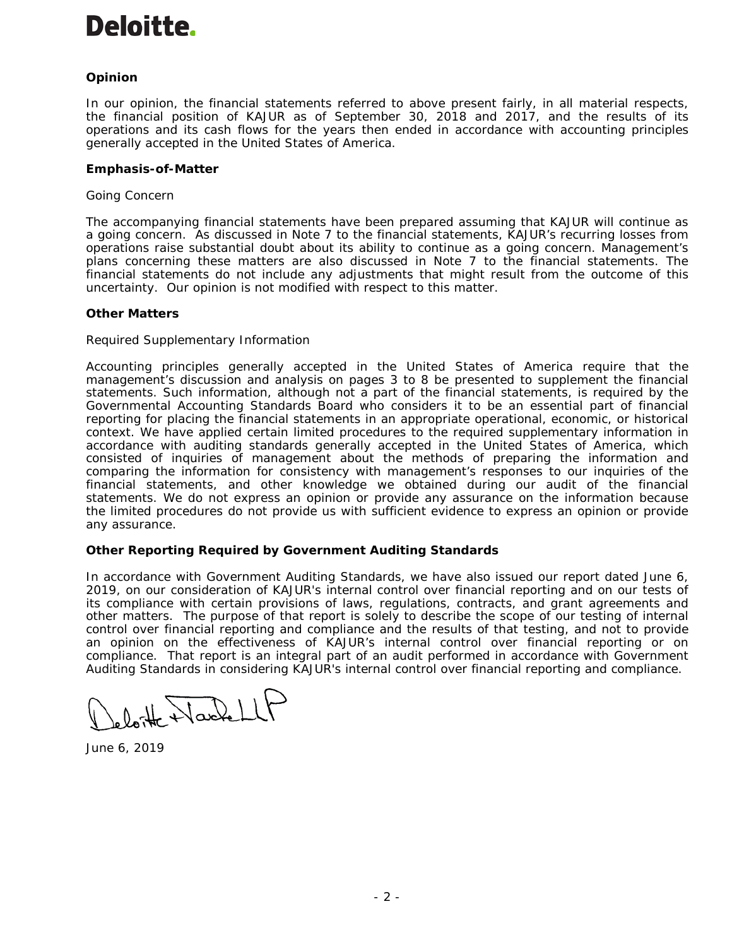# **Deloitte.**

# *Opinion*

In our opinion, the financial statements referred to above present fairly, in all material respects, the financial position of KAJUR as of September 30, 2018 and 2017, and the results of its operations and its cash flows for the years then ended in accordance with accounting principles generally accepted in the United States of America.

#### *Emphasis-of-Matter*

#### *Going Concern*

The accompanying financial statements have been prepared assuming that KAJUR will continue as a going concern. As discussed in Note 7 to the financial statements, KAJUR's recurring losses from operations raise substantial doubt about its ability to continue as a going concern. Management's plans concerning these matters are also discussed in Note 7 to the financial statements. The financial statements do not include any adjustments that might result from the outcome of this uncertainty. Our opinion is not modified with respect to this matter.

#### *Other Matters*

#### *Required Supplementary Information*

Accounting principles generally accepted in the United States of America require that the management's discussion and analysis on pages 3 to 8 be presented to supplement the financial statements. Such information, although not a part of the financial statements, is required by the Governmental Accounting Standards Board who considers it to be an essential part of financial reporting for placing the financial statements in an appropriate operational, economic, or historical context. We have applied certain limited procedures to the required supplementary information in accordance with auditing standards generally accepted in the United States of America, which consisted of inquiries of management about the methods of preparing the information and comparing the information for consistency with management's responses to our inquiries of the financial statements, and other knowledge we obtained during our audit of the financial statements. We do not express an opinion or provide any assurance on the information because the limited procedures do not provide us with sufficient evidence to express an opinion or provide any assurance.

# **Other Reporting Required by** *Government Auditing Standards*

In accordance with *Government Auditing Standards*, we have also issued our report dated June 6, 2019, on our consideration of KAJUR's internal control over financial reporting and on our tests of its compliance with certain provisions of laws, regulations, contracts, and grant agreements and other matters. The purpose of that report is solely to describe the scope of our testing of internal control over financial reporting and compliance and the results of that testing, and not to provide an opinion on the effectiveness of KAJUR's internal control over financial reporting or on compliance. That report is an integral part of an audit performed in accordance with *Government Auditing Standards* in considering KAJUR's internal control over financial reporting and compliance.

the Wackell

June 6, 2019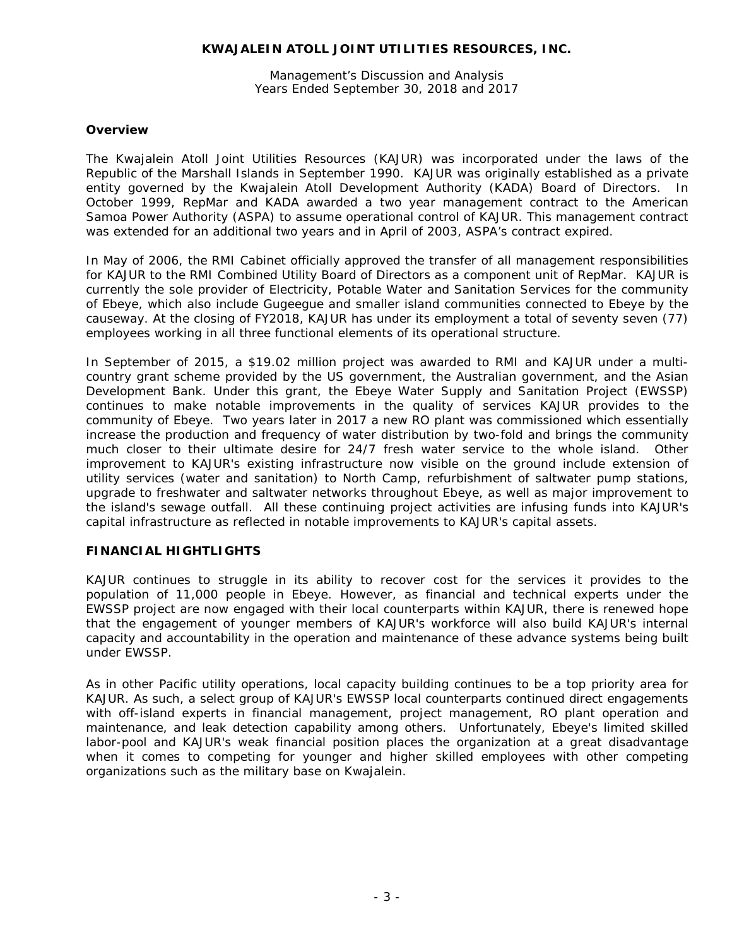Management's Discussion and Analysis Years Ended September 30, 2018 and 2017

#### **Overview**

The Kwajalein Atoll Joint Utilities Resources (KAJUR) was incorporated under the laws of the Republic of the Marshall Islands in September 1990. KAJUR was originally established as a private entity governed by the Kwajalein Atoll Development Authority (KADA) Board of Directors. In October 1999, RepMar and KADA awarded a two year management contract to the American Samoa Power Authority (ASPA) to assume operational control of KAJUR. This management contract was extended for an additional two years and in April of 2003, ASPA's contract expired.

In May of 2006, the RMI Cabinet officially approved the transfer of all management responsibilities for KAJUR to the RMI Combined Utility Board of Directors as a component unit of RepMar. KAJUR is currently the sole provider of Electricity, Potable Water and Sanitation Services for the community of Ebeye, which also include Gugeegue and smaller island communities connected to Ebeye by the causeway. At the closing of FY2018, KAJUR has under its employment a total of seventy seven (77) employees working in all three functional elements of its operational structure.

In September of 2015, a \$19.02 million project was awarded to RMI and KAJUR under a multicountry grant scheme provided by the US government, the Australian government, and the Asian Development Bank. Under this grant, the Ebeye Water Supply and Sanitation Project (EWSSP) continues to make notable improvements in the quality of services KAJUR provides to the community of Ebeye. Two years later in 2017 a new RO plant was commissioned which essentially increase the production and frequency of water distribution by two-fold and brings the community much closer to their ultimate desire for 24/7 fresh water service to the whole island. Other improvement to KAJUR's existing infrastructure now visible on the ground include extension of utility services (water and sanitation) to North Camp, refurbishment of saltwater pump stations, upgrade to freshwater and saltwater networks throughout Ebeye, as well as major improvement to the island's sewage outfall. All these continuing project activities are infusing funds into KAJUR's capital infrastructure as reflected in notable improvements to KAJUR's capital assets.

# **FINANCIAL HIGHTLIGHTS**

KAJUR continues to struggle in its ability to recover cost for the services it provides to the population of 11,000 people in Ebeye. However, as financial and technical experts under the EWSSP project are now engaged with their local counterparts within KAJUR, there is renewed hope that the engagement of younger members of KAJUR's workforce will also build KAJUR's internal capacity and accountability in the operation and maintenance of these advance systems being built under EWSSP.

As in other Pacific utility operations, local capacity building continues to be a top priority area for KAJUR. As such, a select group of KAJUR's EWSSP local counterparts continued direct engagements with off-island experts in financial management, project management, RO plant operation and maintenance, and leak detection capability among others. Unfortunately, Ebeye's limited skilled labor-pool and KAJUR's weak financial position places the organization at a great disadvantage when it comes to competing for younger and higher skilled employees with other competing organizations such as the military base on Kwajalein.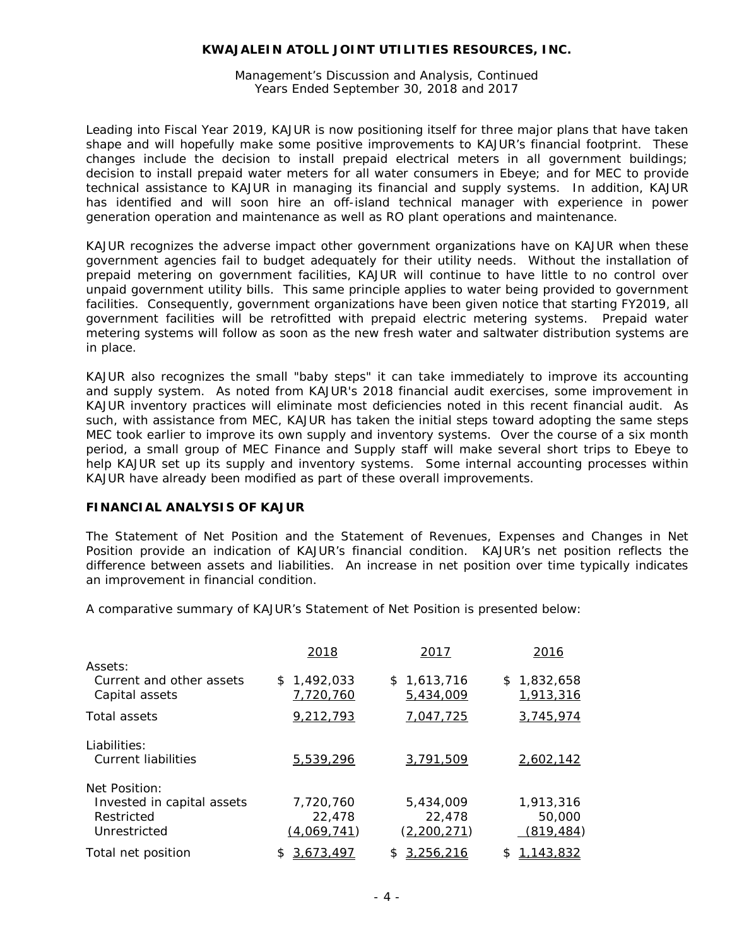Management's Discussion and Analysis, Continued Years Ended September 30, 2018 and 2017

Leading into Fiscal Year 2019, KAJUR is now positioning itself for three major plans that have taken shape and will hopefully make some positive improvements to KAJUR's financial footprint. These changes include the decision to install prepaid electrical meters in all government buildings; decision to install prepaid water meters for all water consumers in Ebeye; and for MEC to provide technical assistance to KAJUR in managing its financial and supply systems. In addition, KAJUR has identified and will soon hire an off-island technical manager with experience in power generation operation and maintenance as well as RO plant operations and maintenance.

KAJUR recognizes the adverse impact other government organizations have on KAJUR when these government agencies fail to budget adequately for their utility needs. Without the installation of prepaid metering on government facilities, KAJUR will continue to have little to no control over unpaid government utility bills. This same principle applies to water being provided to government facilities. Consequently, government organizations have been given notice that starting FY2019, all government facilities will be retrofitted with prepaid electric metering systems. Prepaid water metering systems will follow as soon as the new fresh water and saltwater distribution systems are in place.

KAJUR also recognizes the small "baby steps" it can take immediately to improve its accounting and supply system. As noted from KAJUR's 2018 financial audit exercises, some improvement in KAJUR inventory practices will eliminate most deficiencies noted in this recent financial audit. As such, with assistance from MEC, KAJUR has taken the initial steps toward adopting the same steps MEC took earlier to improve its own supply and inventory systems. Over the course of a six month period, a small group of MEC Finance and Supply staff will make several short trips to Ebeye to help KAJUR set up its supply and inventory systems. Some internal accounting processes within KAJUR have already been modified as part of these overall improvements.

#### **FINANCIAL ANALYSIS OF KAJUR**

The Statement of Net Position and the Statement of Revenues, Expenses and Changes in Net Position provide an indication of KAJUR's financial condition. KAJUR's net position reflects the difference between assets and liabilities. An increase in net position over time typically indicates an improvement in financial condition.

A comparative summary of KAJUR's Statement of Net Position is presented below:

|                                            | 2018                         | 2017                     | 2016                     |
|--------------------------------------------|------------------------------|--------------------------|--------------------------|
| Assets:                                    |                              |                          |                          |
| Current and other assets<br>Capital assets | 1,492,033<br>\$<br>7,720,760 | \$1,613,716<br>5,434,009 | \$1,832,658<br>1,913,316 |
| Total assets                               | 9,212,793                    | 7,047,725                | 3,745,974                |
| Liabilities:                               |                              |                          |                          |
| Current liabilities                        | 5,539,296                    | 3,791,509                | 2,602,142                |
| Net Position:                              |                              |                          |                          |
| Invested in capital assets                 | 7,720,760                    | 5,434,009                | 1,913,316                |
| Restricted                                 | 22,478                       | 22,478                   | 50,000                   |
| Unrestricted                               | (4,069,741)                  | (2, 200, 271)            | (819, 484)               |
| Total net position                         | 3,673,497                    | 3,256,216<br>\$          | 1,143,832<br>\$          |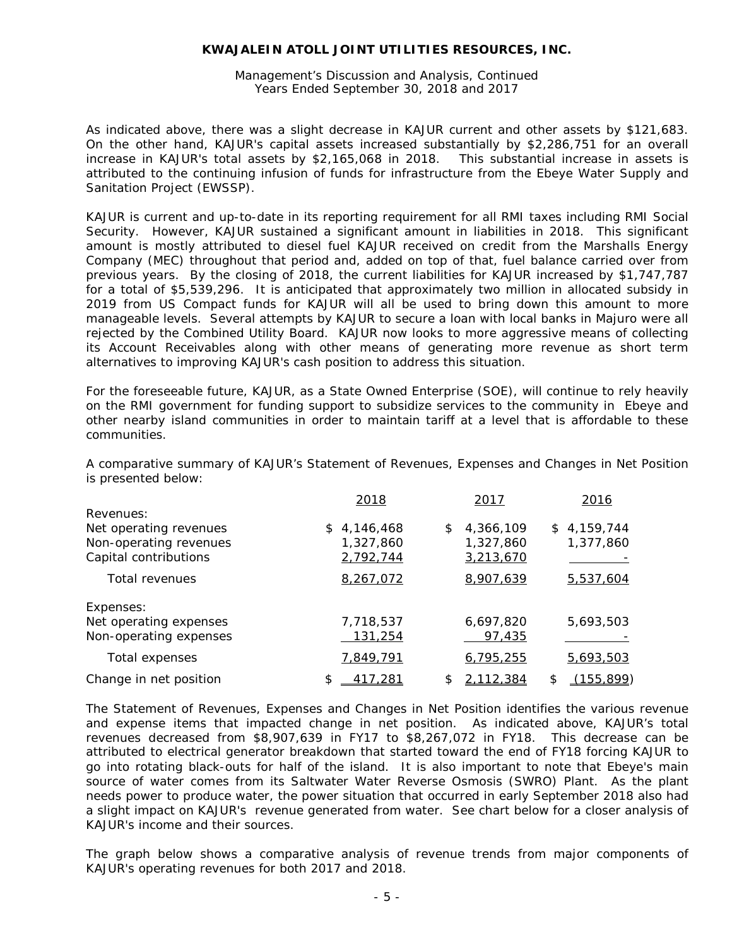Management's Discussion and Analysis, Continued Years Ended September 30, 2018 and 2017

As indicated above, there was a slight decrease in KAJUR current and other assets by \$121,683. On the other hand, KAJUR's capital assets increased substantially by \$2,286,751 for an overall increase in KAJUR's total assets by \$2,165,068 in 2018. This substantial increase in assets is attributed to the continuing infusion of funds for infrastructure from the Ebeye Water Supply and Sanitation Project (EWSSP).

KAJUR is current and up-to-date in its reporting requirement for all RMI taxes including RMI Social Security. However, KAJUR sustained a significant amount in liabilities in 2018. This significant amount is mostly attributed to diesel fuel KAJUR received on credit from the Marshalls Energy Company (MEC) throughout that period and, added on top of that, fuel balance carried over from previous years. By the closing of 2018, the current liabilities for KAJUR increased by \$1,747,787 for a total of \$5,539,296. It is anticipated that approximately two million in allocated subsidy in 2019 from US Compact funds for KAJUR will all be used to bring down this amount to more manageable levels. Several attempts by KAJUR to secure a loan with local banks in Majuro were all rejected by the Combined Utility Board. KAJUR now looks to more aggressive means of collecting its Account Receivables along with other means of generating more revenue as short term alternatives to improving KAJUR's cash position to address this situation.

For the foreseeable future, KAJUR, as a State Owned Enterprise (SOE), will continue to rely heavily on the RMI government for funding support to subsidize services to the community in Ebeye and other nearby island communities in order to maintain tariff at a level that is affordable to these communities.

2018 2017 2016 Revenues: Net operating revenues  $$ 4,146,468 \qquad $ 4,366,109 \qquad $ 4,159,744$ Non-operating revenues 1,327,860 1,327,860 1,377,860 Capital contributions 2,792,744 3,213,670 - Total revenues  $8,267,072$   $8,907,639$   $5,537,604$ Expenses: Net operating expenses  $7,718,537$  6,697,820 5,693,503 Non-operating expenses 131,254 97,435 Total expenses  $\frac{7,849,791}{2,849,791}$   $\frac{6,795,255}{2,693,503}$ Change in net position \$ 417,281 \$ 2,112,384 \$ (155,899)

A comparative summary of KAJUR's Statement of Revenues, Expenses and Changes in Net Position is presented below:

The Statement of Revenues, Expenses and Changes in Net Position identifies the various revenue and expense items that impacted change in net position. As indicated above, KAJUR's total revenues decreased from \$8,907,639 in FY17 to \$8,267,072 in FY18. This decrease can be attributed to electrical generator breakdown that started toward the end of FY18 forcing KAJUR to go into rotating black-outs for half of the island. It is also important to note that Ebeye's main source of water comes from its Saltwater Water Reverse Osmosis (SWRO) Plant. As the plant needs power to produce water, the power situation that occurred in early September 2018 also had a slight impact on KAJUR's revenue generated from water. See chart below for a closer analysis of KAJUR's income and their sources.

The graph below shows a comparative analysis of revenue trends from major components of KAJUR's operating revenues for both 2017 and 2018.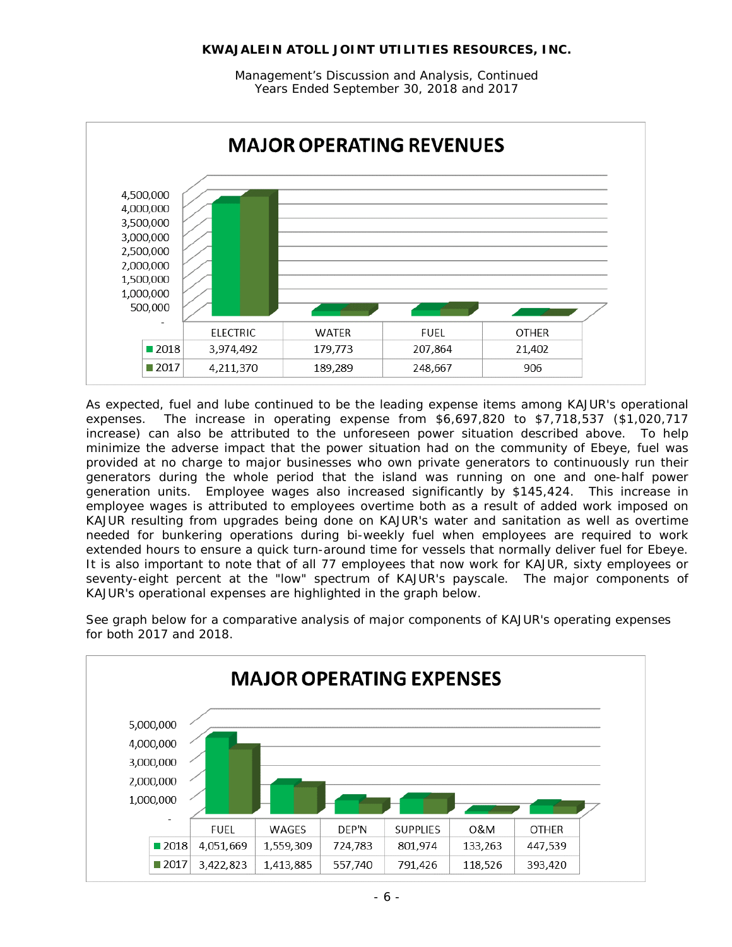Management's Discussion and Analysis, Continued Years Ended September 30, 2018 and 2017



As expected, fuel and lube continued to be the leading expense items among KAJUR's operational expenses. The increase in operating expense from \$6,697,820 to \$7,718,537 (\$1,020,717 increase) can also be attributed to the unforeseen power situation described above. To help minimize the adverse impact that the power situation had on the community of Ebeye, fuel was provided at no charge to major businesses who own private generators to continuously run their generators during the whole period that the island was running on one and one-half power generation units. Employee wages also increased significantly by \$145,424. This increase in employee wages is attributed to employees overtime both as a result of added work imposed on KAJUR resulting from upgrades being done on KAJUR's water and sanitation as well as overtime needed for bunkering operations during bi-weekly fuel when employees are required to work extended hours to ensure a quick turn-around time for vessels that normally deliver fuel for Ebeye. It is also important to note that of all 77 employees that now work for KAJUR, sixty employees or seventy-eight percent at the "low" spectrum of KAJUR's payscale. The major components of KAJUR's operational expenses are highlighted in the graph below.



See graph below for a comparative analysis of major components of KAJUR's operating expenses for both 2017 and 2018.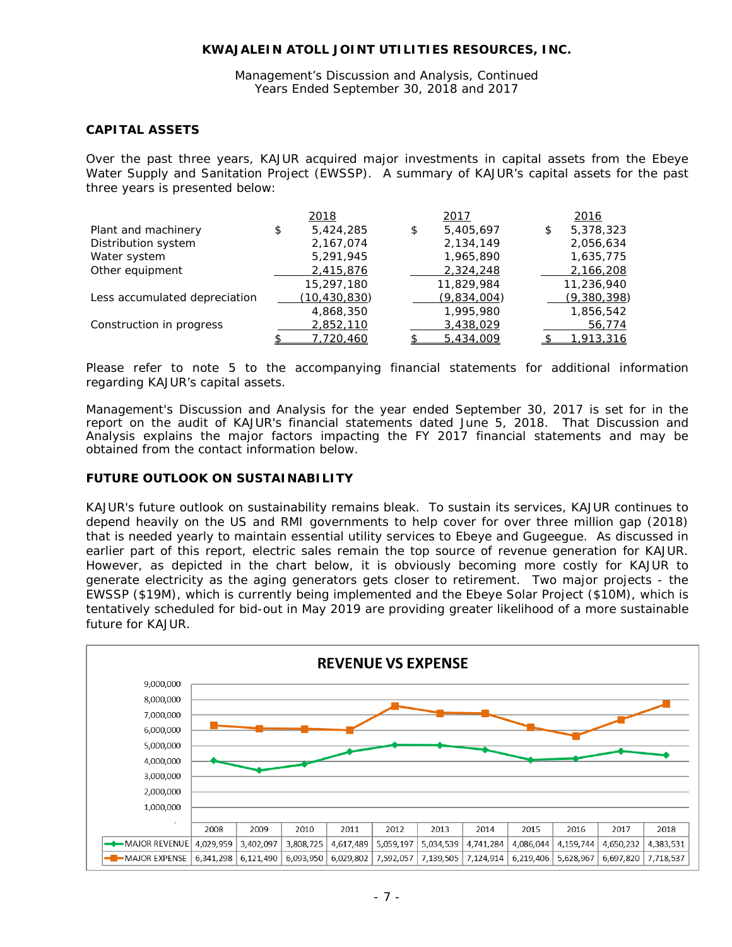Management's Discussion and Analysis, Continued Years Ended September 30, 2018 and 2017

#### **CAPITAL ASSETS**

Over the past three years, KAJUR acquired major investments in capital assets from the Ebeye Water Supply and Sanitation Project (EWSSP). A summary of KAJUR's capital assets for the past three years is presented below:

|                               | 2018            | 2017            | 2016            |
|-------------------------------|-----------------|-----------------|-----------------|
| Plant and machinery           | \$<br>5,424,285 | 5,405,697<br>\$ | \$<br>5,378,323 |
| Distribution system           | 2,167,074       | 2,134,149       | 2,056,634       |
| Water system                  | 5,291,945       | 1,965,890       | 1,635,775       |
| Other equipment               | 2,415,876       | 2,324,248       | 2,166,208       |
|                               | 15,297,180      | 11,829,984      | 11,236,940      |
| Less accumulated depreciation | (10, 430, 830)  | (9,834,004)     | (9,380,398)     |
|                               | 4,868,350       | 1,995,980       | 1,856,542       |
| Construction in progress      | 2,852,110       | 3,438,029       | 56,774          |
|                               | 7,720,460       | 5,434,009       | 1,913,316       |

Please refer to note 5 to the accompanying financial statements for additional information regarding KAJUR's capital assets.

Management's Discussion and Analysis for the year ended September 30, 2017 is set for in the report on the audit of KAJUR's financial statements dated June 5, 2018. That Discussion and Analysis explains the major factors impacting the FY 2017 financial statements and may be obtained from the contact information below.

#### **FUTURE OUTLOOK ON SUSTAINABILITY**

KAJUR's future outlook on sustainability remains bleak. To sustain its services, KAJUR continues to depend heavily on the US and RMI governments to help cover for over three million gap (2018) that is needed yearly to maintain essential utility services to Ebeye and Gugeegue. As discussed in earlier part of this report, electric sales remain the top source of revenue generation for KAJUR. However, as depicted in the chart below, it is obviously becoming more costly for KAJUR to generate electricity as the aging generators gets closer to retirement. Two major projects - the EWSSP (\$19M), which is currently being implemented and the Ebeye Solar Project (\$10M), which is tentatively scheduled for bid-out in May 2019 are providing greater likelihood of a more sustainable future for KAJUR.

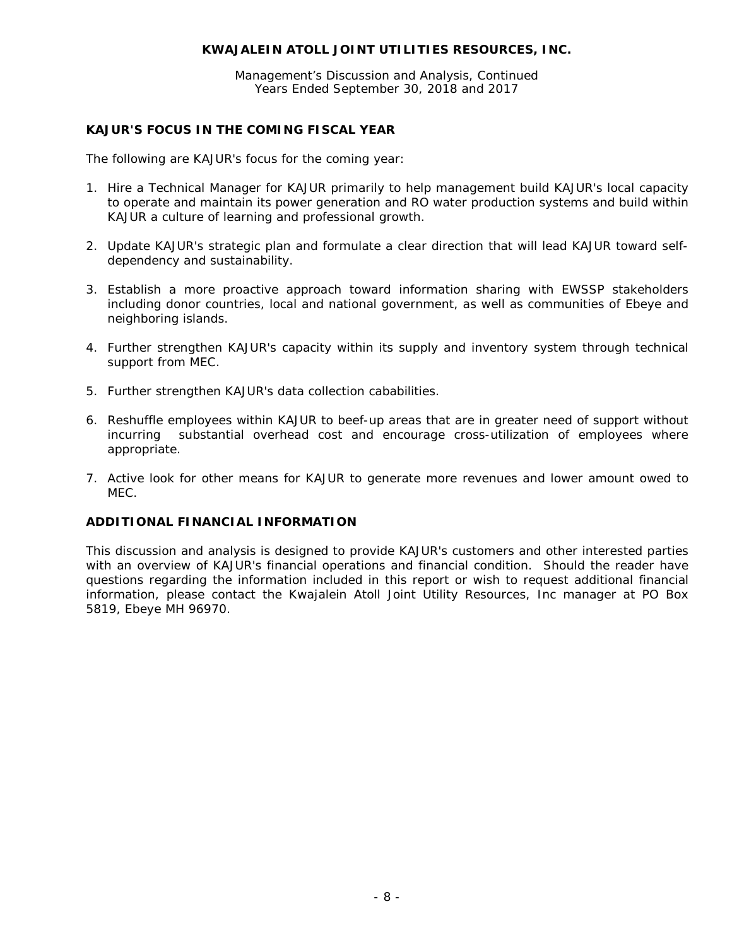Management's Discussion and Analysis, Continued Years Ended September 30, 2018 and 2017

# **KAJUR'S FOCUS IN THE COMING FISCAL YEAR**

The following are KAJUR's focus for the coming year:

- 1. Hire a Technical Manager for KAJUR primarily to help management build KAJUR's local capacity to operate and maintain its power generation and RO water production systems and build within KAJUR a culture of learning and professional growth.
- 2. Update KAJUR's strategic plan and formulate a clear direction that will lead KAJUR toward selfdependency and sustainability.
- 3. Establish a more proactive approach toward information sharing with EWSSP stakeholders including donor countries, local and national government, as well as communities of Ebeye and neighboring islands.
- 4. Further strengthen KAJUR's capacity within its supply and inventory system through technical support from MEC.
- 5. Further strengthen KAJUR's data collection cababilities.
- 6. Reshuffle employees within KAJUR to beef-up areas that are in greater need of support without incurring substantial overhead cost and encourage cross-utilization of employees where appropriate.
- 7. Active look for other means for KAJUR to generate more revenues and lower amount owed to MEC.

# **ADDITIONAL FINANCIAL INFORMATION**

This discussion and analysis is designed to provide KAJUR's customers and other interested parties with an overview of KAJUR's financial operations and financial condition. Should the reader have questions regarding the information included in this report or wish to request additional financial information, please contact the Kwajalein Atoll Joint Utility Resources, Inc manager at PO Box 5819, Ebeye MH 96970.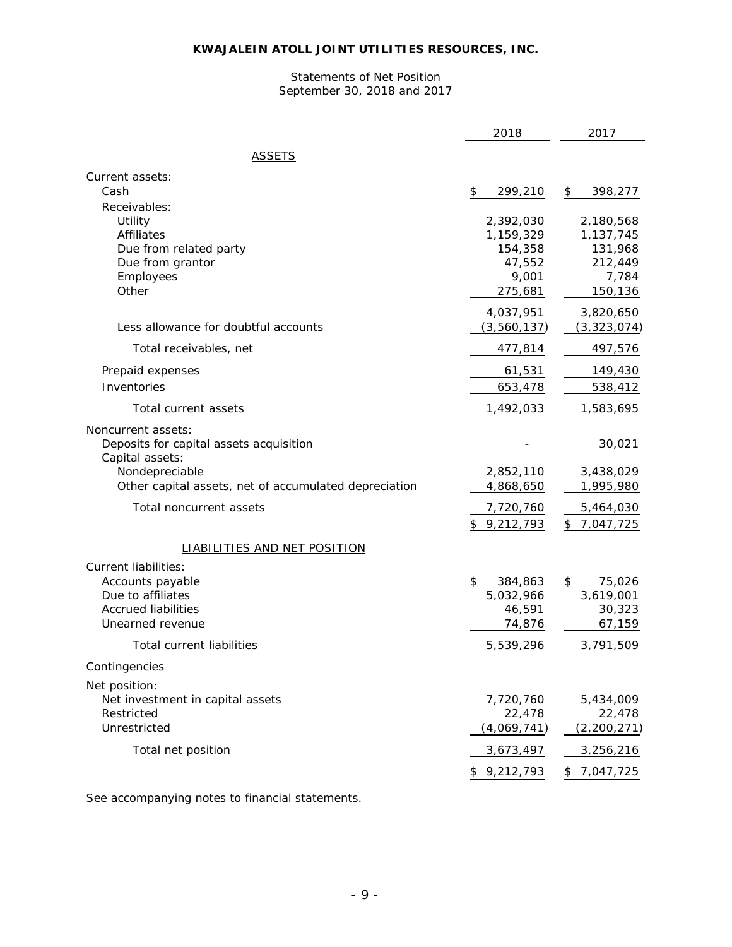#### Statements of Net Position September 30, 2018 and 2017

|                                                                                                                                                             | 2018                                                            | 2017                                                             |
|-------------------------------------------------------------------------------------------------------------------------------------------------------------|-----------------------------------------------------------------|------------------------------------------------------------------|
| <b>ASSETS</b>                                                                                                                                               |                                                                 |                                                                  |
| Current assets:<br>Cash                                                                                                                                     | \$<br>299,210                                                   | \$<br>398,277                                                    |
| Receivables:<br>Utility<br><b>Affiliates</b><br>Due from related party<br>Due from grantor<br>Employees<br>Other                                            | 2,392,030<br>1,159,329<br>154,358<br>47,552<br>9,001<br>275,681 | 2,180,568<br>1,137,745<br>131,968<br>212,449<br>7,784<br>150,136 |
| Less allowance for doubtful accounts                                                                                                                        | 4,037,951<br>(3,560,137)                                        | 3,820,650<br>(3,323,074)                                         |
| Total receivables, net                                                                                                                                      | 477,814                                                         | 497,576                                                          |
| Prepaid expenses<br>Inventories                                                                                                                             | 61,531<br>653,478                                               | 149,430<br>538,412                                               |
| Total current assets                                                                                                                                        | 1,492,033                                                       | 1,583,695                                                        |
| Noncurrent assets:<br>Deposits for capital assets acquisition<br>Capital assets:<br>Nondepreciable<br>Other capital assets, net of accumulated depreciation | 2,852,110<br>4,868,650                                          | 30,021<br>3,438,029<br>1,995,980                                 |
| Total noncurrent assets                                                                                                                                     | 7,720,760<br>9,212,793                                          | 5,464,030<br>\$<br>7,047,725                                     |
| <b>LIABILITIES AND NET POSITION</b>                                                                                                                         |                                                                 |                                                                  |
| Current liabilities:<br>Accounts payable<br>Due to affiliates<br><b>Accrued liabilities</b><br>Unearned revenue<br><b>Total current liabilities</b>         | \$<br>384,863<br>5,032,966<br>46,591<br>74,876<br>5,539,296     | 75,026<br>\$<br>3,619,001<br>30,323<br>67,159<br>3,791,509       |
| Contingencies                                                                                                                                               |                                                                 |                                                                  |
| Net position:<br>Net investment in capital assets<br>Restricted<br>Unrestricted                                                                             | 7,720,760<br>22,478<br>(4,069,741)                              | 5,434,009<br>22,478<br>(2, 200, 271)                             |
| Total net position                                                                                                                                          | 3,673,497                                                       | 3,256,216                                                        |
|                                                                                                                                                             | \$9,212,793                                                     | 7,047,725<br>\$                                                  |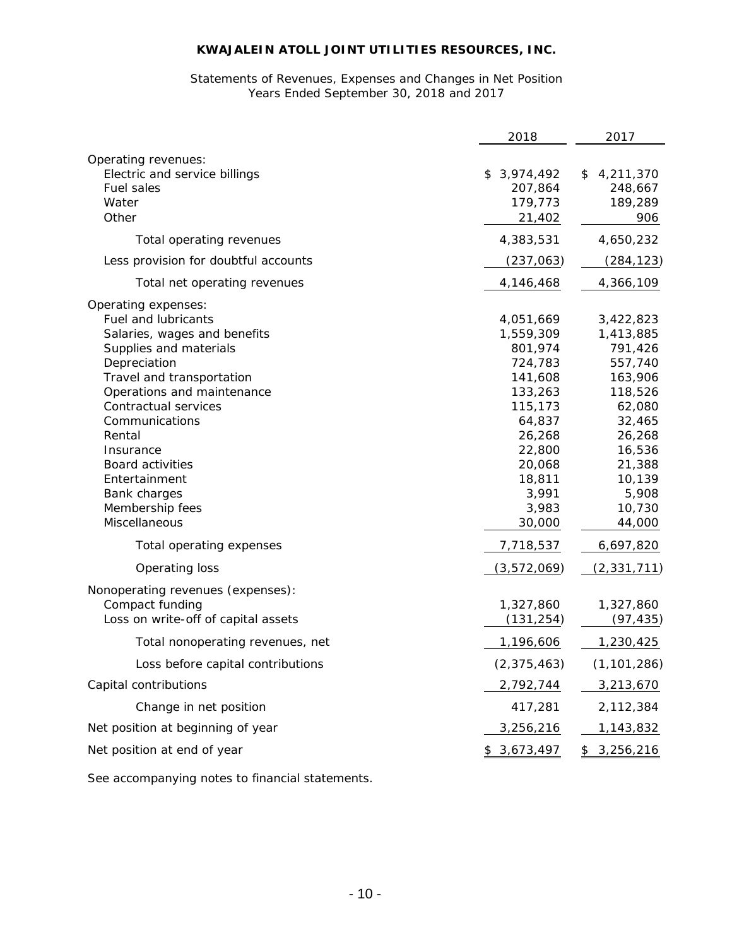# Statements of Revenues, Expenses and Changes in Net Position Years Ended September 30, 2018 and 2017

|                                                                                                                                                                                                                                                                                                                                                  | 2018                                                                                                                                                        | 2017                                                                                                                                                        |
|--------------------------------------------------------------------------------------------------------------------------------------------------------------------------------------------------------------------------------------------------------------------------------------------------------------------------------------------------|-------------------------------------------------------------------------------------------------------------------------------------------------------------|-------------------------------------------------------------------------------------------------------------------------------------------------------------|
| Operating revenues:<br>Electric and service billings<br>Fuel sales<br>Water<br>Other                                                                                                                                                                                                                                                             | \$3,974,492<br>207,864<br>179,773<br>21,402                                                                                                                 | \$4,211,370<br>248,667<br>189,289<br>906                                                                                                                    |
| Total operating revenues                                                                                                                                                                                                                                                                                                                         | 4,383,531                                                                                                                                                   | 4,650,232                                                                                                                                                   |
| Less provision for doubtful accounts                                                                                                                                                                                                                                                                                                             | (237, 063)                                                                                                                                                  | (284, 123)                                                                                                                                                  |
| Total net operating revenues                                                                                                                                                                                                                                                                                                                     | 4,146,468                                                                                                                                                   | 4,366,109                                                                                                                                                   |
| Operating expenses:<br><b>Fuel and lubricants</b><br>Salaries, wages and benefits<br>Supplies and materials<br>Depreciation<br>Travel and transportation<br>Operations and maintenance<br>Contractual services<br>Communications<br>Rental<br>Insurance<br>Board activities<br>Entertainment<br>Bank charges<br>Membership fees<br>Miscellaneous | 4,051,669<br>1,559,309<br>801,974<br>724,783<br>141,608<br>133,263<br>115,173<br>64,837<br>26,268<br>22,800<br>20,068<br>18,811<br>3,991<br>3,983<br>30,000 | 3,422,823<br>1,413,885<br>791,426<br>557,740<br>163,906<br>118,526<br>62,080<br>32,465<br>26,268<br>16,536<br>21,388<br>10,139<br>5,908<br>10,730<br>44,000 |
| Total operating expenses                                                                                                                                                                                                                                                                                                                         | 7,718,537                                                                                                                                                   | 6,697,820                                                                                                                                                   |
| Operating loss                                                                                                                                                                                                                                                                                                                                   | (3,572,069)                                                                                                                                                 | (2, 331, 711)                                                                                                                                               |
| Nonoperating revenues (expenses):<br>Compact funding<br>Loss on write-off of capital assets                                                                                                                                                                                                                                                      | 1,327,860<br>(131, 254)                                                                                                                                     | 1,327,860<br>(97, 435)                                                                                                                                      |
| Total nonoperating revenues, net                                                                                                                                                                                                                                                                                                                 | <u>1,196,606</u>                                                                                                                                            | 1,230,425                                                                                                                                                   |
| Loss before capital contributions                                                                                                                                                                                                                                                                                                                | (2, 375, 463)                                                                                                                                               | (1, 101, 286)                                                                                                                                               |
| Capital contributions                                                                                                                                                                                                                                                                                                                            | 2,792,744                                                                                                                                                   | 3,213,670                                                                                                                                                   |
| Change in net position                                                                                                                                                                                                                                                                                                                           | 417,281                                                                                                                                                     | 2,112,384                                                                                                                                                   |
| Net position at beginning of year                                                                                                                                                                                                                                                                                                                | 3,256,216                                                                                                                                                   | 1,143,832                                                                                                                                                   |
| Net position at end of year                                                                                                                                                                                                                                                                                                                      | \$3,673,497                                                                                                                                                 | \$3,256,216                                                                                                                                                 |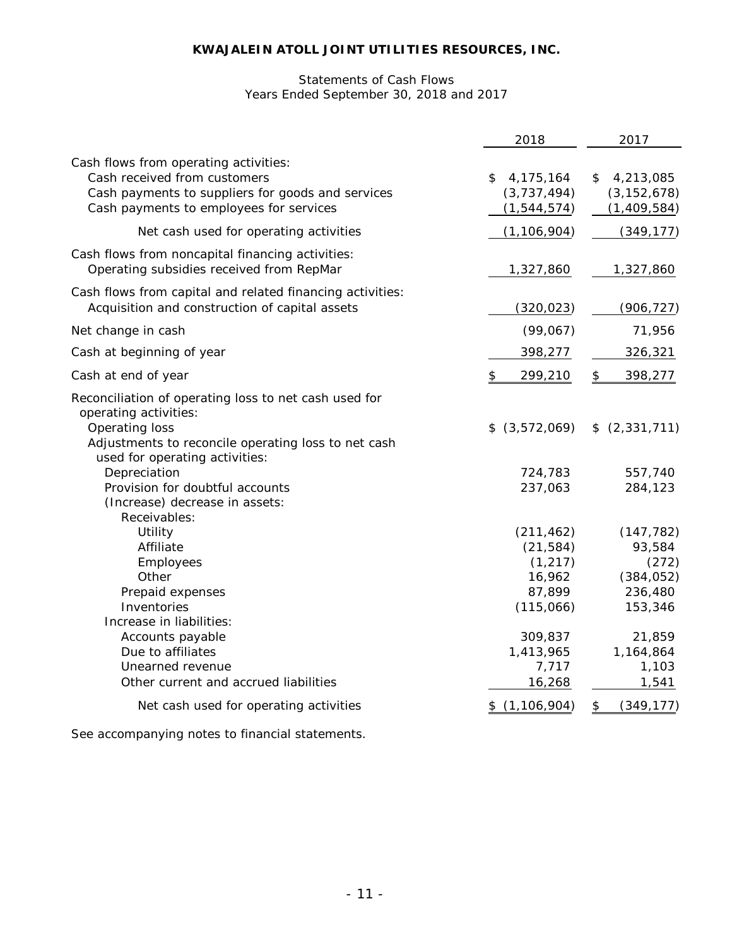# Statements of Cash Flows Years Ended September 30, 2018 and 2017

|                                                                                                                                                                                                                                                                                                           | 2018                                                              | 2017                                                          |
|-----------------------------------------------------------------------------------------------------------------------------------------------------------------------------------------------------------------------------------------------------------------------------------------------------------|-------------------------------------------------------------------|---------------------------------------------------------------|
| Cash flows from operating activities:<br>Cash received from customers<br>Cash payments to suppliers for goods and services<br>Cash payments to employees for services                                                                                                                                     | 4,175,164<br>\$<br>(3, 737, 494)<br>(1, 544, 574)                 | 4,213,085<br>\$<br>(3, 152, 678)<br>(1, 409, 584)             |
| Net cash used for operating activities                                                                                                                                                                                                                                                                    | (1, 106, 904)                                                     | (349, 177)                                                    |
| Cash flows from noncapital financing activities:<br>Operating subsidies received from RepMar                                                                                                                                                                                                              | 1,327,860                                                         | 1,327,860                                                     |
| Cash flows from capital and related financing activities:<br>Acquisition and construction of capital assets                                                                                                                                                                                               | (320, 023)                                                        | (906, 727)                                                    |
| Net change in cash                                                                                                                                                                                                                                                                                        | (99,067)                                                          | 71,956                                                        |
| Cash at beginning of year                                                                                                                                                                                                                                                                                 | 398,277                                                           | 326,321                                                       |
| Cash at end of year                                                                                                                                                                                                                                                                                       | 299,210<br>\$                                                     | \$<br>398,277                                                 |
| Reconciliation of operating loss to net cash used for<br>operating activities:<br>Operating loss<br>Adjustments to reconcile operating loss to net cash<br>used for operating activities:<br>Depreciation<br>Provision for doubtful accounts<br>(Increase) decrease in assets:<br>Receivables:<br>Utility | \$ (3,572,069)<br>724,783<br>237,063<br>(211, 462)                | \$(2,331,711)<br>557,740<br>284,123<br>(147, 782)             |
| Affiliate<br>Employees<br>Other<br>Prepaid expenses<br>Inventories<br>Increase in liabilities:<br>Accounts payable                                                                                                                                                                                        | (21, 584)<br>(1, 217)<br>16,962<br>87,899<br>(115,066)<br>309,837 | 93,584<br>(272)<br>(384, 052)<br>236,480<br>153,346<br>21,859 |
| Due to affiliates                                                                                                                                                                                                                                                                                         | 1,413,965                                                         | 1,164,864                                                     |
| Unearned revenue<br>Other current and accrued liabilities                                                                                                                                                                                                                                                 | 7,717<br>16,268                                                   | 1,103<br>1,541                                                |
| Net cash used for operating activities                                                                                                                                                                                                                                                                    | (1, 106, 904)<br>\$                                               | (349, 177)<br>\$                                              |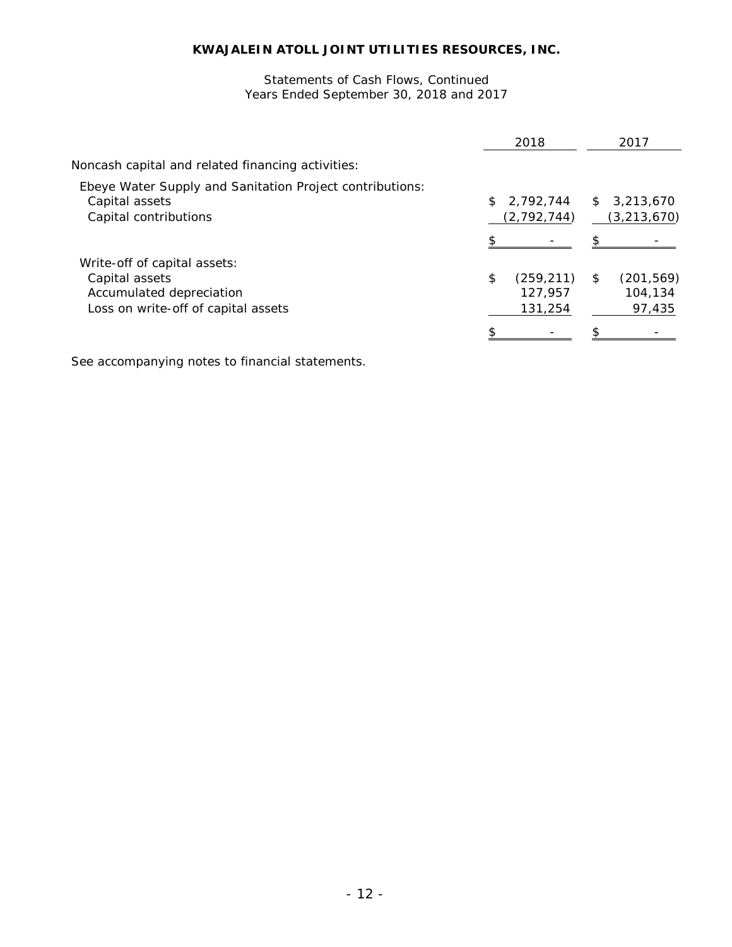# Years Ended September 30, 2018 and 2017 Statements of Cash Flows, Continued

|                                                                                                     | 2018                                   | 2017                                  |
|-----------------------------------------------------------------------------------------------------|----------------------------------------|---------------------------------------|
| Noncash capital and related financing activities:                                                   |                                        |                                       |
| Ebeye Water Supply and Sanitation Project contributions:<br>Capital assets<br>Capital contributions | \$<br>2,792,744<br>(2, 792, 744)       | \$<br>3,213,670<br>(3, 213, 670)      |
|                                                                                                     |                                        |                                       |
| Write-off of capital assets:                                                                        |                                        |                                       |
| Capital assets<br>Accumulated depreciation<br>Loss on write-off of capital assets                   | \$<br>(259, 211)<br>127,957<br>131,254 | \$<br>(201, 569)<br>104,134<br>97,435 |
|                                                                                                     |                                        |                                       |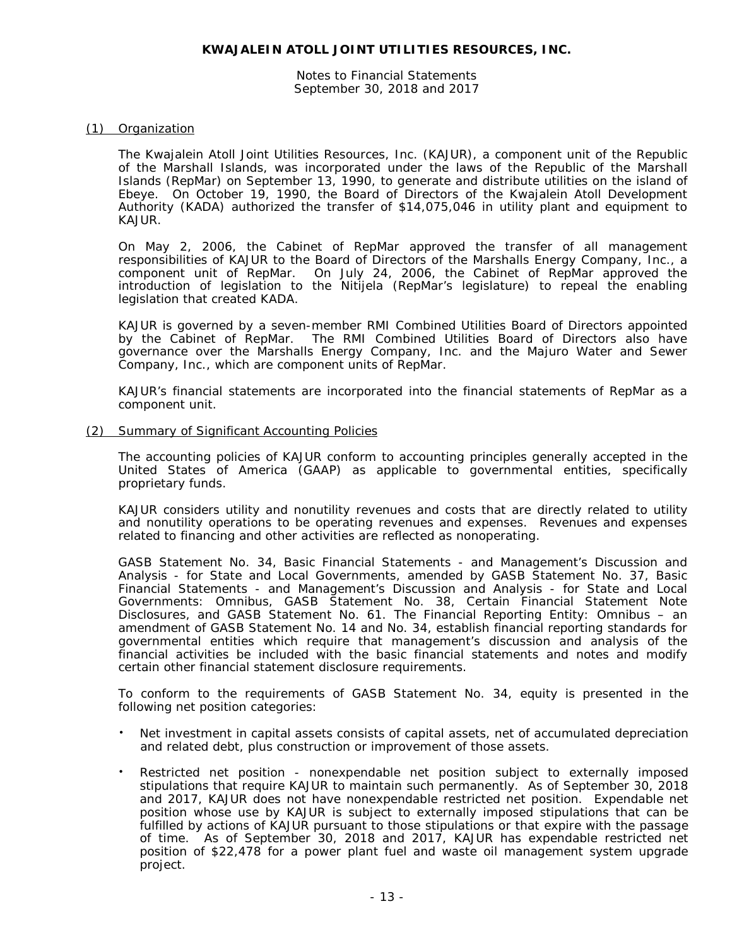Notes to Financial Statements September 30, 2018 and 2017

#### (1) Organization

The Kwajalein Atoll Joint Utilities Resources, Inc. (KAJUR), a component unit of the Republic of the Marshall Islands, was incorporated under the laws of the Republic of the Marshall Islands (RepMar) on September 13, 1990, to generate and distribute utilities on the island of Ebeye. On October 19, 1990, the Board of Directors of the Kwajalein Atoll Development Authority (KADA) authorized the transfer of \$14,075,046 in utility plant and equipment to KAJUR.

On May 2, 2006, the Cabinet of RepMar approved the transfer of all management responsibilities of KAJUR to the Board of Directors of the Marshalls Energy Company, Inc., a component unit of RepMar. On July 24, 2006, the Cabinet of RepMar approved the introduction of legislation to the Nitijela (RepMar's legislature) to repeal the enabling legislation that created KADA.

KAJUR is governed by a seven-member RMI Combined Utilities Board of Directors appointed by the Cabinet of RepMar. The RMI Combined Utilities Board of Directors also have governance over the Marshalls Energy Company, Inc. and the Majuro Water and Sewer Company, Inc., which are component units of RepMar.

KAJUR's financial statements are incorporated into the financial statements of RepMar as a component unit.

#### (2) Summary of Significant Accounting Policies

The accounting policies of KAJUR conform to accounting principles generally accepted in the United States of America (GAAP) as applicable to governmental entities, specifically proprietary funds.

KAJUR considers utility and nonutility revenues and costs that are directly related to utility and nonutility operations to be operating revenues and expenses. Revenues and expenses related to financing and other activities are reflected as nonoperating.

GASB Statement No. 34, *Basic Financial Statements - and Management's Discussion and Analysis - for State and Local Governments*, amended by GASB Statement No. 37, *Basic Financial Statements - and Management's Discussion and Analysis - for State and Local Governments: Omnibus,* GASB Statement No. 38, *Certain Financial Statement Note Disclosures,* and GASB Statement No. 61. *The Financial Reporting Entity: Omnibus – an amendment of GASB Statement No. 14 and No. 34*, establish financial reporting standards for governmental entities which require that management's discussion and analysis of the financial activities be included with the basic financial statements and notes and modify certain other financial statement disclosure requirements.

To conform to the requirements of GASB Statement No. 34, equity is presented in the following net position categories:

- *Net investment in capital asset*s consists of capital assets, net of accumulated depreciation and related debt, plus construction or improvement of those assets.
- *Restricted net position* nonexpendable net position subject to externally imposed stipulations that require KAJUR to maintain such permanently. As of September 30, 2018 and 2017, KAJUR does not have nonexpendable restricted net position. Expendable net position whose use by KAJUR is subject to externally imposed stipulations that can be fulfilled by actions of KAJUR pursuant to those stipulations or that expire with the passage of time. As of September 30, 2018 and 2017, KAJUR has expendable restricted net position of \$22,478 for a power plant fuel and waste oil management system upgrade project.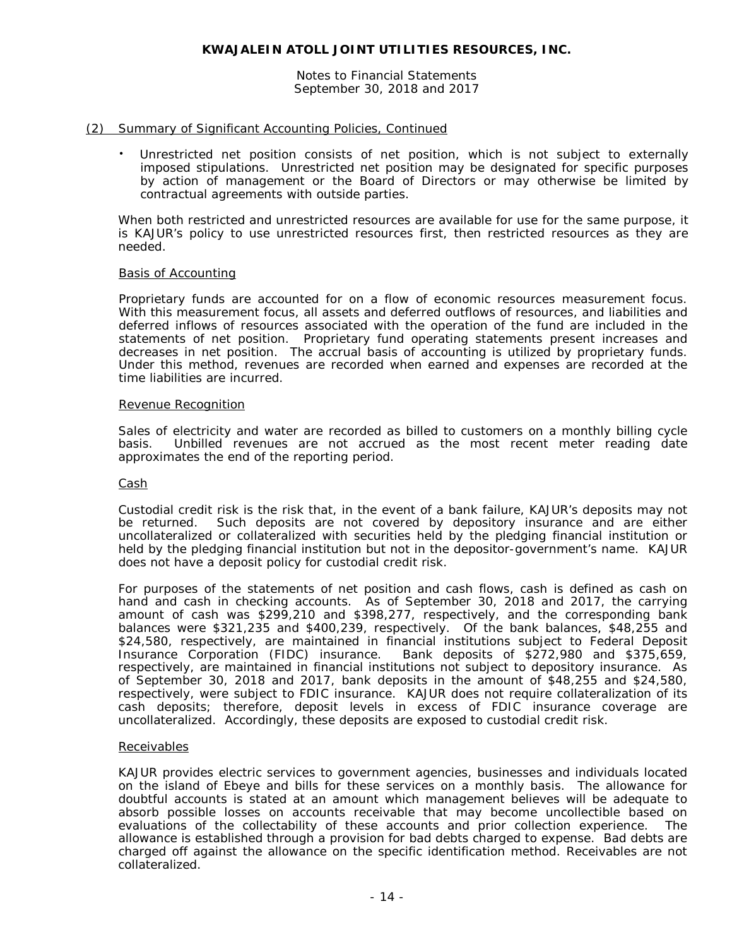Notes to Financial Statements September 30, 2018 and 2017

#### (2) Summary of Significant Accounting Policies, Continued

 *Unrestricted net position* consists of net position, which is not subject to externally imposed stipulations. Unrestricted net position may be designated for specific purposes by action of management or the Board of Directors or may otherwise be limited by contractual agreements with outside parties.

When both restricted and unrestricted resources are available for use for the same purpose, it is KAJUR's policy to use unrestricted resources first, then restricted resources as they are needed.

#### Basis of Accounting

Proprietary funds are accounted for on a flow of economic resources measurement focus. With this measurement focus, all assets and deferred outflows of resources, and liabilities and deferred inflows of resources associated with the operation of the fund are included in the statements of net position. Proprietary fund operating statements present increases and decreases in net position. The accrual basis of accounting is utilized by proprietary funds. Under this method, revenues are recorded when earned and expenses are recorded at the time liabilities are incurred.

#### Revenue Recognition

Sales of electricity and water are recorded as billed to customers on a monthly billing cycle basis. Unbilled revenues are not accrued as the most recent meter reading date approximates the end of the reporting period.

#### Cash

Custodial credit risk is the risk that, in the event of a bank failure, KAJUR's deposits may not be returned. Such deposits are not covered by depository insurance and are either uncollateralized or collateralized with securities held by the pledging financial institution or held by the pledging financial institution but not in the depositor-government's name. KAJUR does not have a deposit policy for custodial credit risk.

For purposes of the statements of net position and cash flows, cash is defined as cash on hand and cash in checking accounts. As of September 30, 2018 and 2017, the carrying amount of cash was \$299,210 and \$398,277, respectively, and the corresponding bank balances were \$321,235 and \$400,239, respectively. Of the bank balances, \$48,255 and \$24,580, respectively, are maintained in financial institutions subject to Federal Deposit Insurance Corporation (FIDC) insurance. Bank deposits of \$272,980 and \$375,659, respectively, are maintained in financial institutions not subject to depository insurance. As of September 30, 2018 and 2017, bank deposits in the amount of \$48,255 and \$24,580, respectively, were subject to FDIC insurance. KAJUR does not require collateralization of its cash deposits; therefore, deposit levels in excess of FDIC insurance coverage are uncollateralized. Accordingly, these deposits are exposed to custodial credit risk.

#### Receivables

KAJUR provides electric services to government agencies, businesses and individuals located on the island of Ebeye and bills for these services on a monthly basis. The allowance for doubtful accounts is stated at an amount which management believes will be adequate to absorb possible losses on accounts receivable that may become uncollectible based on evaluations of the collectability of these accounts and prior collection experience. The allowance is established through a provision for bad debts charged to expense. Bad debts are charged off against the allowance on the specific identification method. Receivables are not collateralized.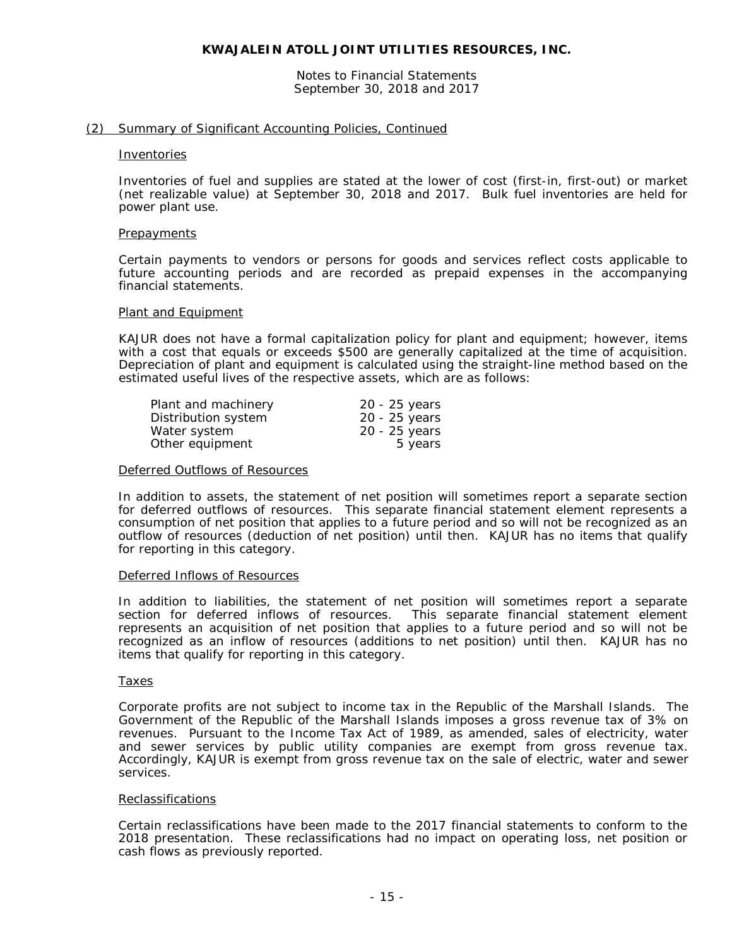Notes to Financial Statements September 30, 2018 and 2017

#### (2) Summary of Significant Accounting Policies, Continued

#### Inventories

Inventories of fuel and supplies are stated at the lower of cost (first-in, first-out) or market (net realizable value) at September 30, 2018 and 2017. Bulk fuel inventories are held for power plant use.

#### Prepayments

Certain payments to vendors or persons for goods and services reflect costs applicable to future accounting periods and are recorded as prepaid expenses in the accompanying financial statements.

#### Plant and Equipment

KAJUR does not have a formal capitalization policy for plant and equipment; however, items with a cost that equals or exceeds \$500 are generally capitalized at the time of acquisition. Depreciation of plant and equipment is calculated using the straight-line method based on the estimated useful lives of the respective assets, which are as follows:

| Plant and machinery | 20 - 25 years |
|---------------------|---------------|
| Distribution system | 20 - 25 years |
| Water system        | 20 - 25 years |
| Other equipment     | 5 years       |

#### Deferred Outflows of Resources

In addition to assets, the statement of net position will sometimes report a separate section for deferred outflows of resources. This separate financial statement element represents a consumption of net position that applies to a future period and so will not be recognized as an outflow of resources (deduction of net position) until then. KAJUR has no items that qualify for reporting in this category.

#### Deferred Inflows of Resources

In addition to liabilities, the statement of net position will sometimes report a separate section for deferred inflows of resources. This separate financial statement element represents an acquisition of net position that applies to a future period and so will not be recognized as an inflow of resources (additions to net position) until then. KAJUR has no items that qualify for reporting in this category.

#### **Taxes**

Corporate profits are not subject to income tax in the Republic of the Marshall Islands. The Government of the Republic of the Marshall Islands imposes a gross revenue tax of 3% on revenues. Pursuant to the Income Tax Act of 1989, as amended, sales of electricity, water and sewer services by public utility companies are exempt from gross revenue tax. Accordingly, KAJUR is exempt from gross revenue tax on the sale of electric, water and sewer services.

#### Reclassifications

Certain reclassifications have been made to the 2017 financial statements to conform to the 2018 presentation. These reclassifications had no impact on operating loss, net position or cash flows as previously reported.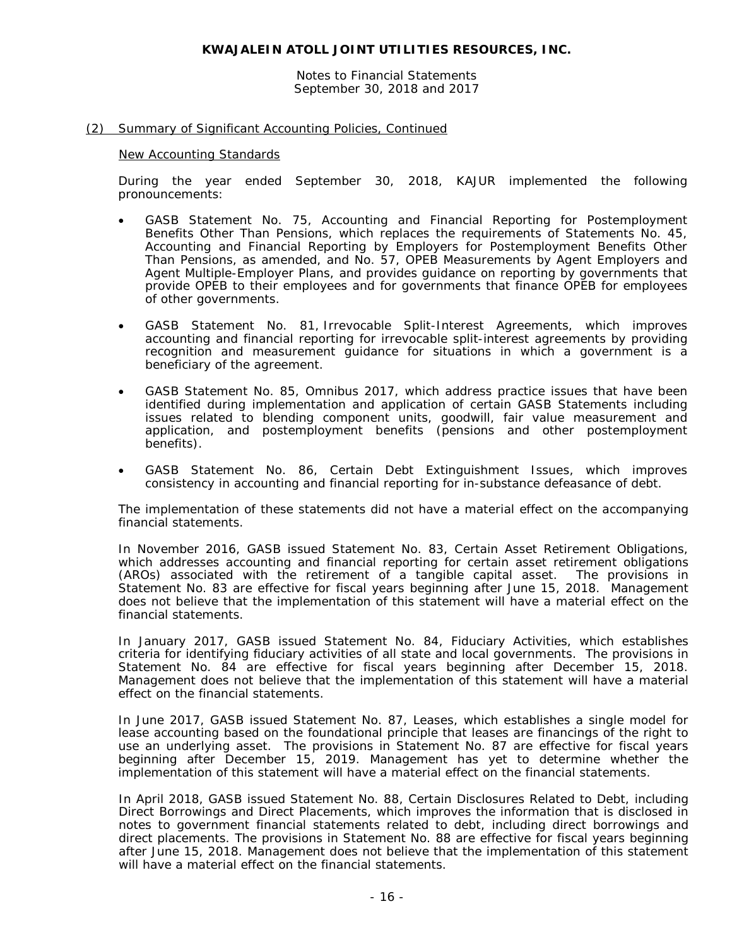Notes to Financial Statements September 30, 2018 and 2017

#### (2) Summary of Significant Accounting Policies, Continued

#### New Accounting Standards

During the year ended September 30, 2018, KAJUR implemented the following pronouncements:

- GASB Statement No. 75, *Accounting and Financial Reporting for Postemployment Benefits Other Than Pensions*, which replaces the requirements of Statements No. 45, *Accounting and Financial Reporting by Employers for Postemployment Benefits Other Than Pensions*, as amended, and No. 57, *OPEB Measurements by Agent Employers and Agent Multiple-Employer Plans*, and provides guidance on reporting by governments that provide OPEB to their employees and for governments that finance OPEB for employees of other governments.
- GASB Statement No. 81, *Irrevocable Split-Interest Agreements,* which improves accounting and financial reporting for irrevocable split-interest agreements by providing recognition and measurement guidance for situations in which a government is a beneficiary of the agreement.
- GASB Statement No. 85, *Omnibus 2017*, which address practice issues that have been identified during implementation and application of certain GASB Statements including issues related to blending component units, goodwill, fair value measurement and application, and postemployment benefits (pensions and other postemployment benefits).
- GASB Statement No. 86, *Certain Debt Extinguishment Issues*, which improves consistency in accounting and financial reporting for in-substance defeasance of debt.

The implementation of these statements did not have a material effect on the accompanying financial statements.

In November 2016, GASB issued Statement No. 83, *Certain Asset Retirement Obligations*, which addresses accounting and financial reporting for certain asset retirement obligations (AROs) associated with the retirement of a tangible capital asset. The provisions in Statement No. 83 are effective for fiscal years beginning after June 15, 2018. Management does not believe that the implementation of this statement will have a material effect on the financial statements.

In January 2017, GASB issued Statement No. 84, *Fiduciary Activities*, which establishes criteria for identifying fiduciary activities of all state and local governments. The provisions in Statement No. 84 are effective for fiscal years beginning after December 15, 2018. Management does not believe that the implementation of this statement will have a material effect on the financial statements.

In June 2017, GASB issued Statement No. 87, *Leases*, which establishes a single model for lease accounting based on the foundational principle that leases are financings of the right to use an underlying asset. The provisions in Statement No. 87 are effective for fiscal years beginning after December 15, 2019. Management has yet to determine whether the implementation of this statement will have a material effect on the financial statements.

In April 2018, GASB issued Statement No. 88, *Certain Disclosures Related to Debt, including Direct Borrowings and Direct Placements*, which improves the information that is disclosed in notes to government financial statements related to debt, including direct borrowings and direct placements. The provisions in Statement No. 88 are effective for fiscal years beginning after June 15, 2018. Management does not believe that the implementation of this statement will have a material effect on the financial statements.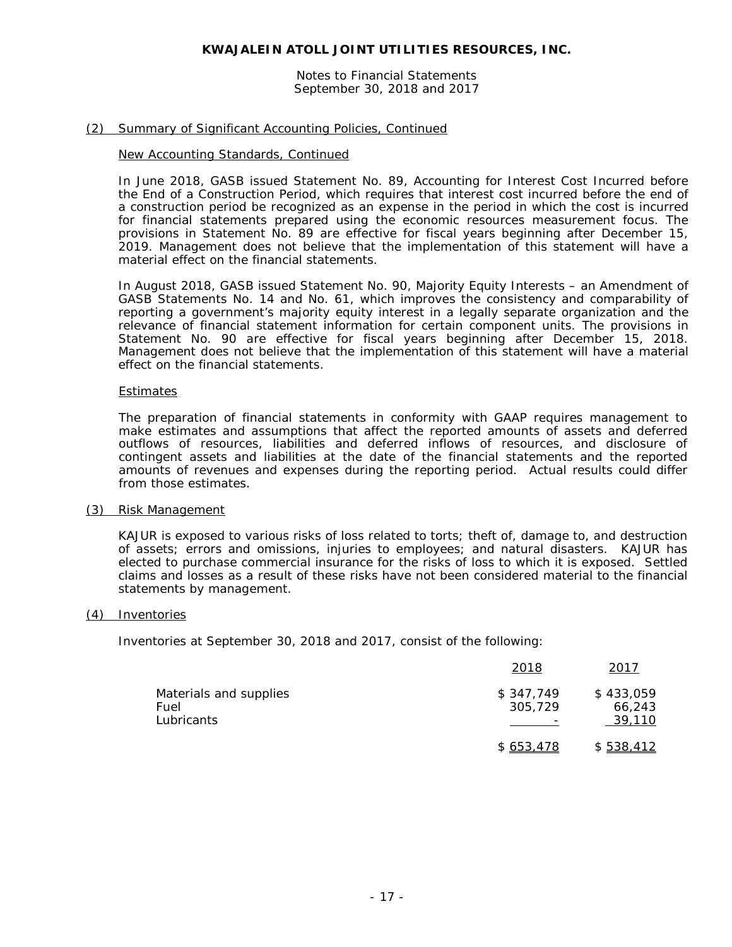Notes to Financial Statements September 30, 2018 and 2017

#### (2) Summary of Significant Accounting Policies, Continued

#### New Accounting Standards, Continued

In June 2018, GASB issued Statement No. 89, *Accounting for Interest Cost Incurred before the End of a Construction Period*, which requires that interest cost incurred before the end of a construction period be recognized as an expense in the period in which the cost is incurred for financial statements prepared using the economic resources measurement focus. The provisions in Statement No. 89 are effective for fiscal years beginning after December 15, 2019. Management does not believe that the implementation of this statement will have a material effect on the financial statements.

In August 2018, GASB issued Statement No. 90, *Majority Equity Interests – an Amendment of GASB Statements No. 14 and No. 61,* which improves the consistency and comparability of reporting a government's majority equity interest in a legally separate organization and the relevance of financial statement information for certain component units. The provisions in Statement No. 90 are effective for fiscal years beginning after December 15, 2018. Management does not believe that the implementation of this statement will have a material effect on the financial statements.

#### Estimates

The preparation of financial statements in conformity with GAAP requires management to make estimates and assumptions that affect the reported amounts of assets and deferred outflows of resources, liabilities and deferred inflows of resources, and disclosure of contingent assets and liabilities at the date of the financial statements and the reported amounts of revenues and expenses during the reporting period. Actual results could differ from those estimates.

#### (3) Risk Management

KAJUR is exposed to various risks of loss related to torts; theft of, damage to, and destruction of assets; errors and omissions, injuries to employees; and natural disasters. KAJUR has elected to purchase commercial insurance for the risks of loss to which it is exposed. Settled claims and losses as a result of these risks have not been considered material to the financial statements by management.

# (4) Inventories

Inventories at September 30, 2018 and 2017, consist of the following:

|                                              | 2018                 | 2017                          |
|----------------------------------------------|----------------------|-------------------------------|
| Materials and supplies<br>Fuel<br>Lubricants | \$347,749<br>305,729 | \$433,059<br>66.243<br>39,110 |
|                                              | \$653,478            | \$538,412                     |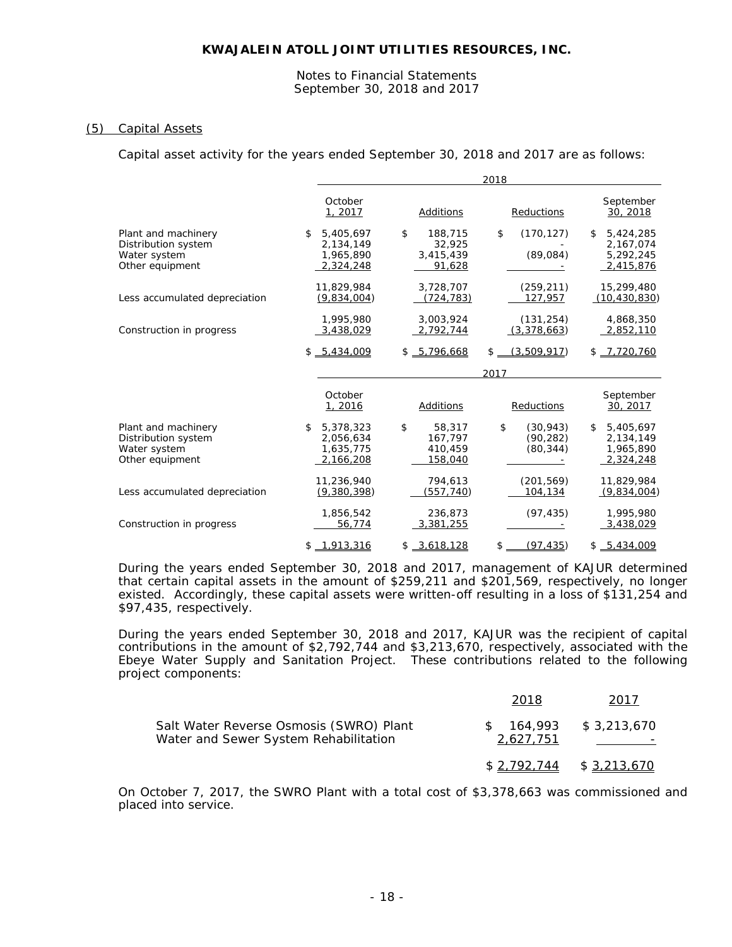#### Notes to Financial Statements September 30, 2018 and 2017

#### (5) Capital Assets

Capital asset activity for the years ended September 30, 2018 and 2017 are as follows:

|                                                                               |                                                        |                                                | 2018                                      |                                                        |
|-------------------------------------------------------------------------------|--------------------------------------------------------|------------------------------------------------|-------------------------------------------|--------------------------------------------------------|
|                                                                               | October<br>1, 2017                                     | Additions                                      | Reductions                                | September<br>30, 2018                                  |
| Plant and machinery<br>Distribution system<br>Water system<br>Other equipment | \$<br>5,405,697<br>2,134,149<br>1,965,890<br>2,324,248 | \$<br>188,715<br>32,925<br>3,415,439<br>91,628 | (170, 127)<br>\$<br>(89,084)              | 5,424,285<br>\$<br>2,167,074<br>5,292,245<br>2,415,876 |
| Less accumulated depreciation                                                 | 11,829,984<br>(9,834,004)                              | 3,728,707<br>(724, 783)                        | (259, 211)<br>127,957                     | 15,299,480<br>(10, 430, 830)                           |
| Construction in progress                                                      | 1,995,980<br>3,438,029                                 | 3,003,924<br>2,792,744                         | (131, 254)<br>(3,378,663)                 | 4,868,350<br>2,852,110                                 |
|                                                                               | $$ -5,434,009$                                         | \$ 5,796,668                                   | $$-(3,509,917)$                           | $$ -7,720,760$                                         |
|                                                                               |                                                        |                                                | 2017                                      |                                                        |
|                                                                               | October<br>1, 2016                                     | Additions                                      | Reductions                                | September<br>30, 2017                                  |
| Plant and machinery<br>Distribution system<br>Water system<br>Other equipment | 5,378,323<br>\$<br>2,056,634<br>1,635,775<br>2,166,208 | \$<br>58,317<br>167,797<br>410,459<br>158,040  | \$<br>(30, 943)<br>(90, 282)<br>(80, 344) | 5,405,697<br>\$<br>2,134,149<br>1,965,890<br>2,324,248 |
| Less accumulated depreciation                                                 | 11,236,940<br>(9,380,398)                              | 794,613<br>(557, 740)                          | (201, 569)<br>104,134                     | 11,829,984<br>(9,834,004)                              |
| Construction in progress                                                      | 1,856,542<br>56,774                                    | 236,873<br>3,381,255                           | (97, 435)                                 | 1,995,980<br>3,438,029                                 |
|                                                                               | $$ -1.913.316$                                         | $$ -3,618,128$                                 | $\mathsf{\$}$ .<br>(97.435)               | $$ -5.434.009$                                         |

During the years ended September 30, 2018 and 2017, management of KAJUR determined that certain capital assets in the amount of \$259,211 and \$201,569, respectively, no longer existed. Accordingly, these capital assets were written-off resulting in a loss of \$131,254 and \$97,435, respectively.

During the years ended September 30, 2018 and 2017, KAJUR was the recipient of capital contributions in the amount of \$2,792,744 and \$3,213,670, respectively, associated with the Ebeye Water Supply and Sanitation Project. These contributions related to the following project components:

|                                                                                  | 2018                 | 2017         |
|----------------------------------------------------------------------------------|----------------------|--------------|
| Salt Water Reverse Osmosis (SWRO) Plant<br>Water and Sewer System Rehabilitation | 164.993<br>2.627.751 | \$ 3,213,670 |
|                                                                                  | \$2.792.744          | \$3,213,670  |

On October 7, 2017, the SWRO Plant with a total cost of \$3,378,663 was commissioned and placed into service.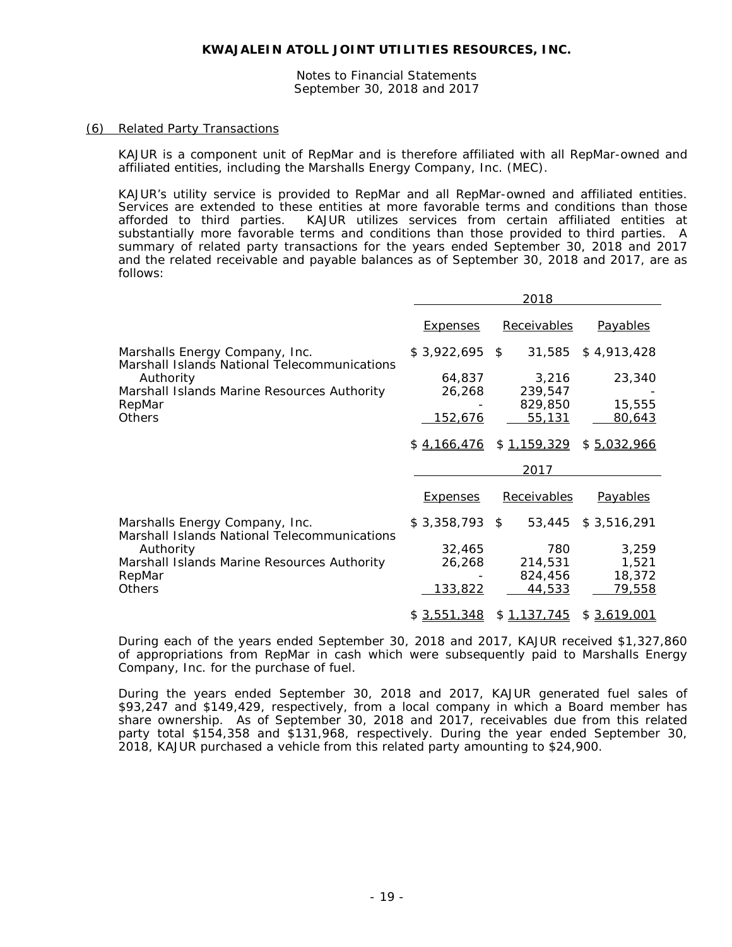Notes to Financial Statements September 30, 2018 and 2017

#### (6) Related Party Transactions

KAJUR is a component unit of RepMar and is therefore affiliated with all RepMar-owned and affiliated entities, including the Marshalls Energy Company, Inc. (MEC).

KAJUR's utility service is provided to RepMar and all RepMar-owned and affiliated entities. Services are extended to these entities at more favorable terms and conditions than those afforded to third parties. KAJUR utilizes services from certain affiliated entities at substantially more favorable terms and conditions than those provided to third parties. A summary of related party transactions for the years ended September 30, 2018 and 2017 and the related receivable and payable balances as of September 30, 2018 and 2017, are as follows:

|                                                                                |                 | 2018               |                 |
|--------------------------------------------------------------------------------|-----------------|--------------------|-----------------|
|                                                                                | <b>Expenses</b> | Receivables        | <b>Payables</b> |
| Marshalls Energy Company, Inc.<br>Marshall Islands National Telecommunications | \$3,922,695     | 31,585<br>\$       | \$4,913,428     |
| Authority                                                                      | 64,837          | 3,216              | 23,340          |
| Marshall Islands Marine Resources Authority                                    | 26,268          | 239,547            |                 |
| RepMar                                                                         |                 | 829,850            | 15,555          |
| Others                                                                         | <u>152,676</u>  | 55,131             | 80,643          |
|                                                                                | \$4,166,476     | \$1,159,329        | \$5,032,966     |
|                                                                                |                 | 2017               |                 |
|                                                                                |                 |                    |                 |
|                                                                                | <b>Expenses</b> | Receivables        | Payables        |
| Marshalls Energy Company, Inc.                                                 | $$3,358,793$ \$ | 53,445             | \$3,516,291     |
| Marshall Islands National Telecommunications                                   | 32,465          | 780                | 3,259           |
| Authority                                                                      | 26,268          |                    | 1,521           |
| Marshall Islands Marine Resources Authority<br>RepMar                          |                 | 214,531<br>824,456 | 18,372          |
| Others                                                                         | 133,822         | 44,533             | 79,558          |

During each of the years ended September 30, 2018 and 2017, KAJUR received \$1,327,860 of appropriations from RepMar in cash which were subsequently paid to Marshalls Energy Company, Inc. for the purchase of fuel.

During the years ended September 30, 2018 and 2017, KAJUR generated fuel sales of \$93,247 and \$149,429, respectively, from a local company in which a Board member has share ownership. As of September 30, 2018 and 2017, receivables due from this related party total \$154,358 and \$131,968, respectively. During the year ended September 30, 2018, KAJUR purchased a vehicle from this related party amounting to \$24,900.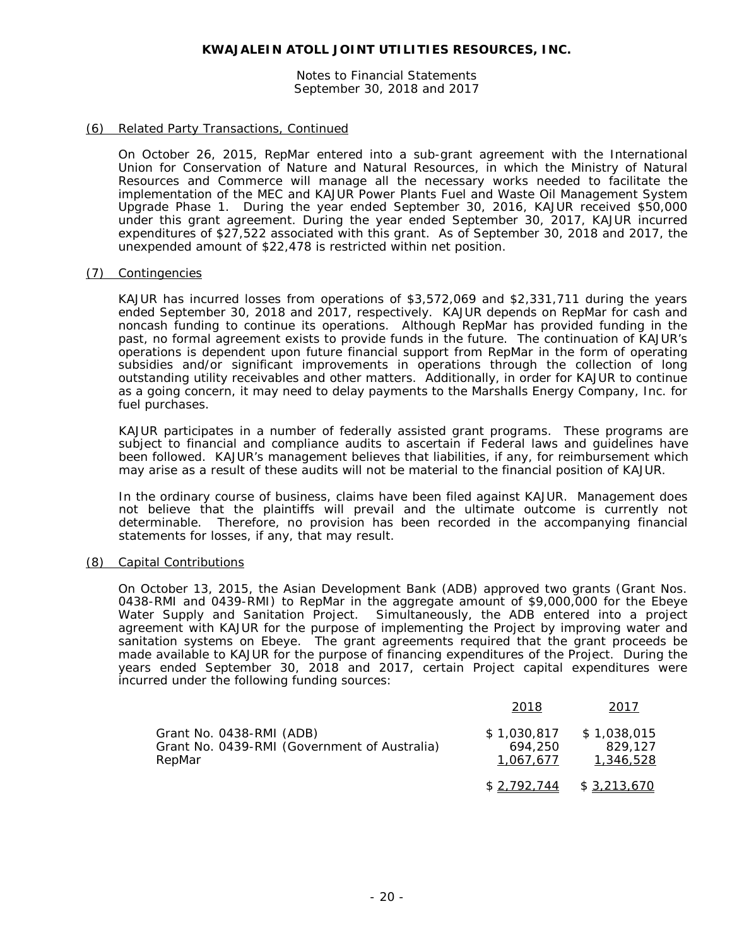Notes to Financial Statements September 30, 2018 and 2017

#### (6) Related Party Transactions, Continued

On October 26, 2015, RepMar entered into a sub-grant agreement with the International Union for Conservation of Nature and Natural Resources, in which the Ministry of Natural Resources and Commerce will manage all the necessary works needed to facilitate the implementation of the MEC and KAJUR Power Plants Fuel and Waste Oil Management System Upgrade Phase 1. During the year ended September 30, 2016, KAJUR received \$50,000 under this grant agreement. During the year ended September 30, 2017, KAJUR incurred expenditures of \$27,522 associated with this grant. As of September 30, 2018 and 2017, the unexpended amount of \$22,478 is restricted within net position.

#### (7) Contingencies

KAJUR has incurred losses from operations of \$3,572,069 and \$2,331,711 during the years ended September 30, 2018 and 2017, respectively. KAJUR depends on RepMar for cash and noncash funding to continue its operations. Although RepMar has provided funding in the past, no formal agreement exists to provide funds in the future. The continuation of KAJUR's operations is dependent upon future financial support from RepMar in the form of operating subsidies and/or significant improvements in operations through the collection of long outstanding utility receivables and other matters. Additionally, in order for KAJUR to continue as a going concern, it may need to delay payments to the Marshalls Energy Company, Inc. for fuel purchases.

KAJUR participates in a number of federally assisted grant programs. These programs are subject to financial and compliance audits to ascertain if Federal laws and guidelines have been followed. KAJUR's management believes that liabilities, if any, for reimbursement which may arise as a result of these audits will not be material to the financial position of KAJUR.

In the ordinary course of business, claims have been filed against KAJUR. Management does not believe that the plaintiffs will prevail and the ultimate outcome is currently not determinable. Therefore, no provision has been recorded in the accompanying financial statements for losses, if any, that may result.

#### (8) Capital Contributions

On October 13, 2015, the Asian Development Bank (ADB) approved two grants (Grant Nos. 0438-RMI and 0439-RMI) to RepMar in the aggregate amount of \$9,000,000 for the Ebeye Water Supply and Sanitation Project. Simultaneously, the ADB entered into a project agreement with KAJUR for the purpose of implementing the Project by improving water and sanitation systems on Ebeye. The grant agreements required that the grant proceeds be made available to KAJUR for the purpose of financing expenditures of the Project. During the years ended September 30, 2018 and 2017, certain Project capital expenditures were incurred under the following funding sources:

|                                                                                    | 2018                                | 2017                                |
|------------------------------------------------------------------------------------|-------------------------------------|-------------------------------------|
| Grant No. 0438-RMI (ADB)<br>Grant No. 0439-RMI (Government of Australia)<br>RepMar | \$1.030.817<br>694.250<br>1,067,677 | \$1,038,015<br>829.127<br>1,346,528 |
|                                                                                    | \$2.792.744                         | \$3,213,670                         |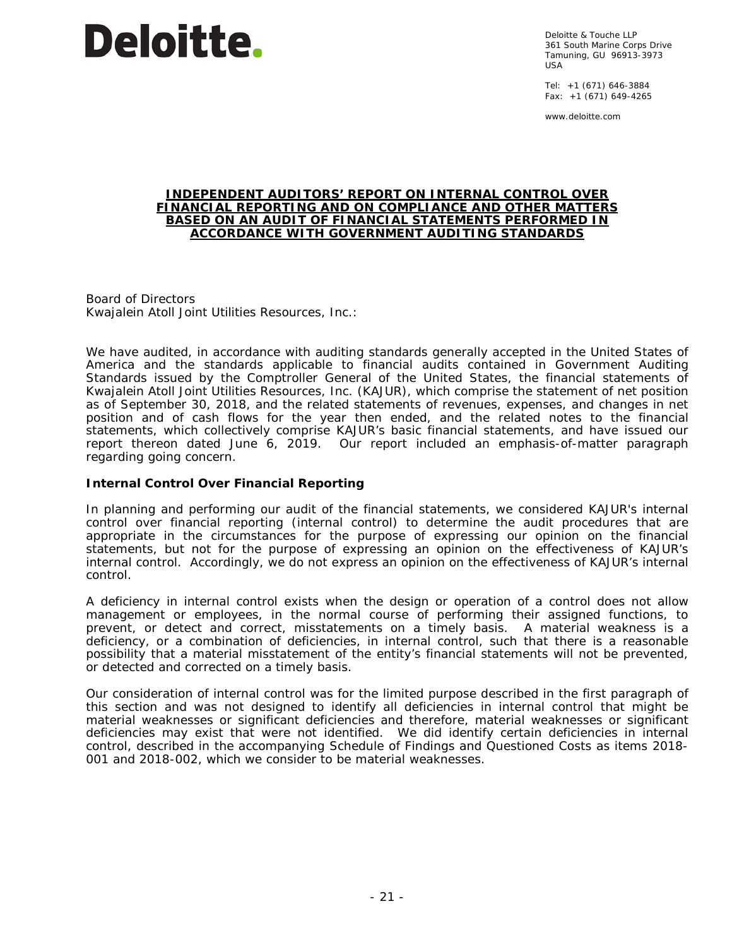

Deloitte & Touche LLP 361 South Marine Corps Drive Tamuning, GU 96913-3973 USA

Tel: +1 (671) 646-3884 Fax: +1 (671) 649-4265

www.deloitte.com

#### **INDEPENDENT AUDITORS' REPORT ON INTERNAL CONTROL OVER FINANCIAL REPORTING AND ON COMPLIANCE AND OTHER MATTERS BASED ON AN AUDIT OF FINANCIAL STATEMENTS PERFORMED IN ACCORDANCE WITH** *GOVERNMENT AUDITING STANDARDS*

Board of Directors Kwajalein Atoll Joint Utilities Resources, Inc.:

We have audited, in accordance with auditing standards generally accepted in the United States of America and the standards applicable to financial audits contained in *Government Auditing Standards* issued by the Comptroller General of the United States, the financial statements of Kwajalein Atoll Joint Utilities Resources, Inc. (KAJUR), which comprise the statement of net position as of September 30, 2018, and the related statements of revenues, expenses, and changes in net position and of cash flows for the year then ended, and the related notes to the financial statements, which collectively comprise KAJUR's basic financial statements, and have issued our report thereon dated June 6, 2019. Our report included an emphasis-of-matter paragraph regarding going concern.

#### **Internal Control Over Financial Reporting**

In planning and performing our audit of the financial statements, we considered KAJUR's internal control over financial reporting (internal control) to determine the audit procedures that are appropriate in the circumstances for the purpose of expressing our opinion on the financial statements, but not for the purpose of expressing an opinion on the effectiveness of KAJUR's internal control. Accordingly, we do not express an opinion on the effectiveness of KAJUR's internal control.

A *deficiency in internal control* exists when the design or operation of a control does not allow management or employees, in the normal course of performing their assigned functions, to prevent, or detect and correct, misstatements on a timely basis. A *material weakness* is a deficiency, or a combination of deficiencies, in internal control, such that there is a reasonable possibility that a material misstatement of the entity's financial statements will not be prevented, or detected and corrected on a timely basis.

Our consideration of internal control was for the limited purpose described in the first paragraph of this section and was not designed to identify all deficiencies in internal control that might be material weaknesses or significant deficiencies and therefore, material weaknesses or significant deficiencies may exist that were not identified. We did identify certain deficiencies in internal control, described in the accompanying Schedule of Findings and Questioned Costs as items 2018- 001 and 2018-002, which we consider to be material weaknesses.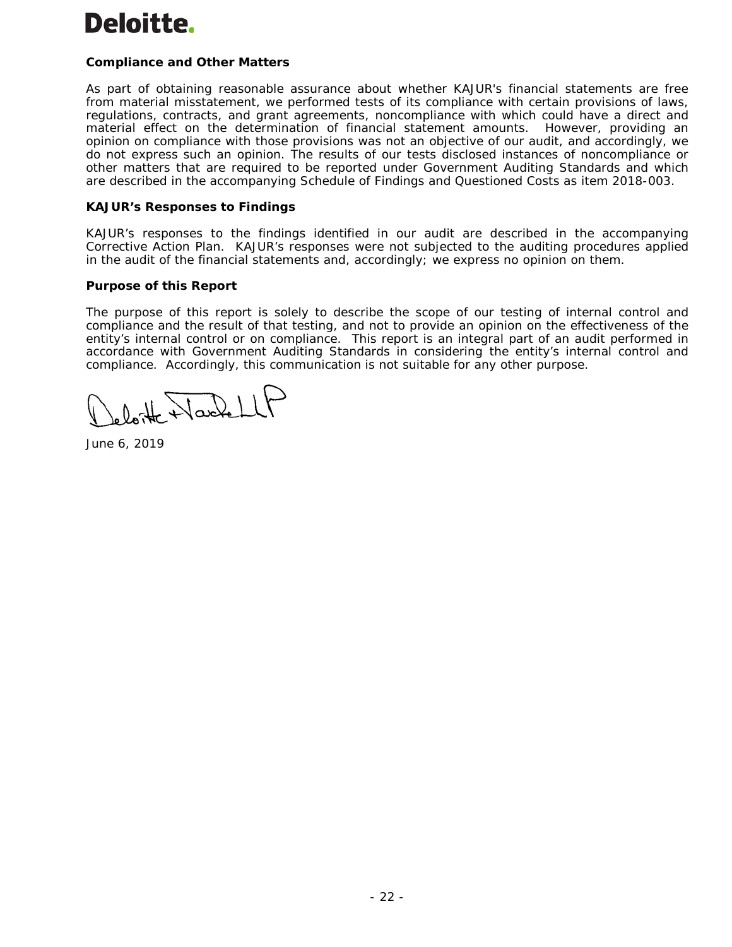# Deloitte.

# **Compliance and Other Matters**

As part of obtaining reasonable assurance about whether KAJUR's financial statements are free from material misstatement, we performed tests of its compliance with certain provisions of laws, regulations, contracts, and grant agreements, noncompliance with which could have a direct and material effect on the determination of financial statement amounts. However, providing an opinion on compliance with those provisions was not an objective of our audit, and accordingly, we do not express such an opinion. The results of our tests disclosed instances of noncompliance or other matters that are required to be reported under *Government Auditing Standards* and which are described in the accompanying Schedule of Findings and Questioned Costs as item 2018-003.

#### **KAJUR's Responses to Findings**

KAJUR's responses to the findings identified in our audit are described in the accompanying Corrective Action Plan. KAJUR's responses were not subjected to the auditing procedures applied in the audit of the financial statements and, accordingly; we express no opinion on them.

#### **Purpose of this Report**

The purpose of this report is solely to describe the scope of our testing of internal control and compliance and the result of that testing, and not to provide an opinion on the effectiveness of the entity's internal control or on compliance. This report is an integral part of an audit performed in accordance with *Government Auditing Standards* in considering the entity's internal control and compliance. Accordingly, this communication is not suitable for any other purpose.

Osif Harlell

June 6, 2019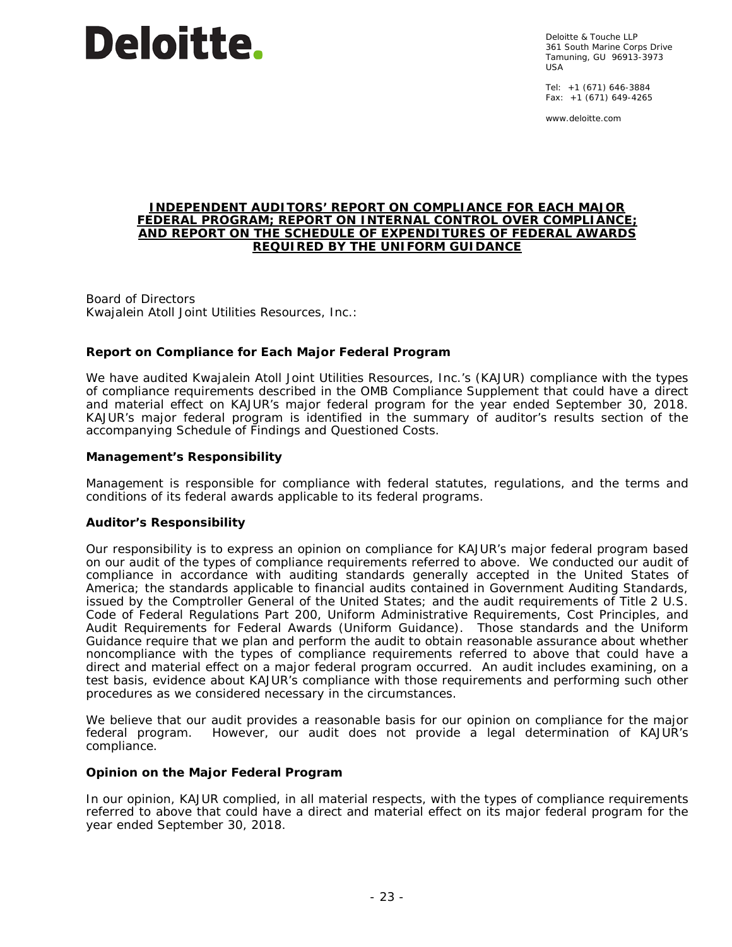

Deloitte & Touche LLP 361 South Marine Corps Drive Tamuning, GU 96913-3973 USA

Tel: +1 (671) 646-3884 Fax: +1 (671) 649-4265

www.deloitte.com

#### **INDEPENDENT AUDITORS' REPORT ON COMPLIANCE FOR EACH MAJOR FEDERAL PROGRAM; REPORT ON INTERNAL CONTROL OVER COMPLIANCE; AND REPORT ON THE SCHEDULE OF EXPENDITURES OF FEDERAL AWARDS REQUIRED BY THE UNIFORM GUIDANCE**

Board of Directors Kwajalein Atoll Joint Utilities Resources, Inc.:

#### **Report on Compliance for Each Major Federal Program**

We have audited Kwajalein Atoll Joint Utilities Resources, Inc.'s (KAJUR) compliance with the types of compliance requirements described in the *OMB Compliance Supplement* that could have a direct and material effect on KAJUR's major federal program for the year ended September 30, 2018. KAJUR's major federal program is identified in the summary of auditor's results section of the accompanying Schedule of Findings and Questioned Costs.

#### *Management's Responsibility*

Management is responsible for compliance with federal statutes, regulations, and the terms and conditions of its federal awards applicable to its federal programs.

#### *Auditor's Responsibility*

Our responsibility is to express an opinion on compliance for KAJUR's major federal program based on our audit of the types of compliance requirements referred to above. We conducted our audit of compliance in accordance with auditing standards generally accepted in the United States of America; the standards applicable to financial audits contained in *Government Auditing Standards*, issued by the Comptroller General of the United States; and the audit requirements of Title 2 U.S. *Code of Federal Regulations* Part 200, *Uniform Administrative Requirements, Cost Principles, and Audit Requirements for Federal Awards* (Uniform Guidance). Those standards and the Uniform Guidance require that we plan and perform the audit to obtain reasonable assurance about whether noncompliance with the types of compliance requirements referred to above that could have a direct and material effect on a major federal program occurred. An audit includes examining, on a test basis, evidence about KAJUR's compliance with those requirements and performing such other procedures as we considered necessary in the circumstances.

We believe that our audit provides a reasonable basis for our opinion on compliance for the major federal program. However, our audit does not provide a legal determination of KAJUR's compliance.

#### *Opinion on the Major Federal Program*

In our opinion, KAJUR complied, in all material respects, with the types of compliance requirements referred to above that could have a direct and material effect on its major federal program for the year ended September 30, 2018.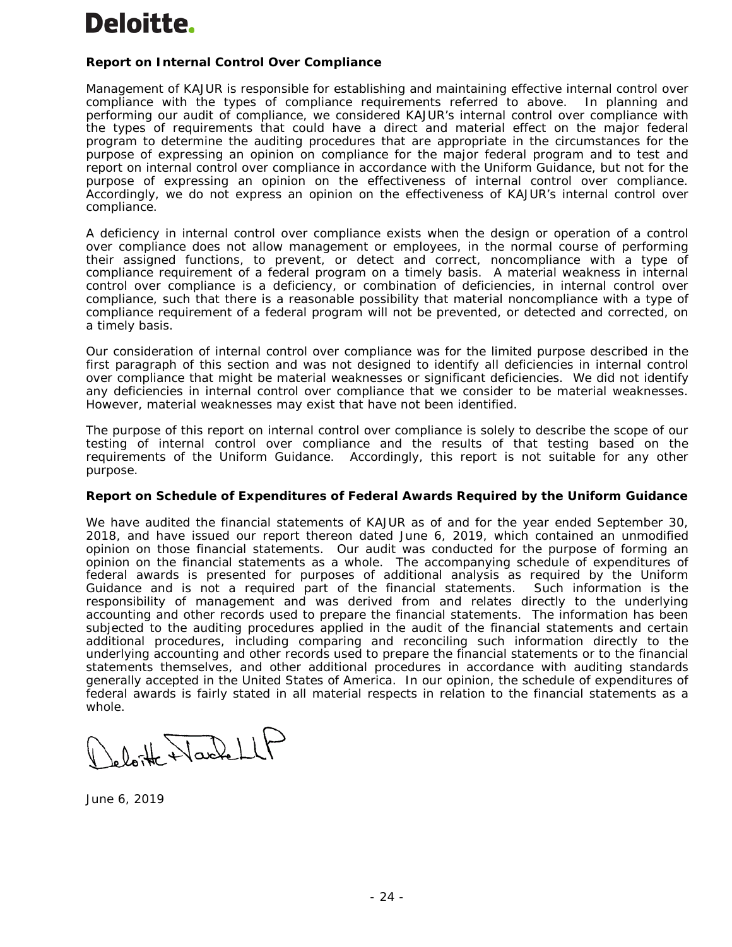# **Deloitte**.

# **Report on Internal Control Over Compliance**

Management of KAJUR is responsible for establishing and maintaining effective internal control over compliance with the types of compliance requirements referred to above. In planning and performing our audit of compliance, we considered KAJUR's internal control over compliance with the types of requirements that could have a direct and material effect on the major federal program to determine the auditing procedures that are appropriate in the circumstances for the purpose of expressing an opinion on compliance for the major federal program and to test and report on internal control over compliance in accordance with the Uniform Guidance, but not for the purpose of expressing an opinion on the effectiveness of internal control over compliance. Accordingly, we do not express an opinion on the effectiveness of KAJUR's internal control over compliance.

A *deficiency in internal control over compliance* exists when the design or operation of a control over compliance does not allow management or employees, in the normal course of performing their assigned functions, to prevent, or detect and correct, noncompliance with a type of compliance requirement of a federal program on a timely basis. A *material weakness in internal control over compliance* is a deficiency, or combination of deficiencies, in internal control over compliance, such that there is a reasonable possibility that material noncompliance with a type of compliance requirement of a federal program will not be prevented, or detected and corrected, on a timely basis.

Our consideration of internal control over compliance was for the limited purpose described in the first paragraph of this section and was not designed to identify all deficiencies in internal control over compliance that might be material weaknesses or significant deficiencies. We did not identify any deficiencies in internal control over compliance that we consider to be material weaknesses. However, material weaknesses may exist that have not been identified.

The purpose of this report on internal control over compliance is solely to describe the scope of our testing of internal control over compliance and the results of that testing based on the requirements of the Uniform Guidance. Accordingly, this report is not suitable for any other purpose.

# **Report on Schedule of Expenditures of Federal Awards Required by the Uniform Guidance**

We have audited the financial statements of KAJUR as of and for the year ended September 30, 2018, and have issued our report thereon dated June 6, 2019, which contained an unmodified opinion on those financial statements. Our audit was conducted for the purpose of forming an opinion on the financial statements as a whole. The accompanying schedule of expenditures of federal awards is presented for purposes of additional analysis as required by the Uniform Guidance and is not a required part of the financial statements. Such information is the responsibility of management and was derived from and relates directly to the underlying accounting and other records used to prepare the financial statements. The information has been subjected to the auditing procedures applied in the audit of the financial statements and certain additional procedures, including comparing and reconciling such information directly to the underlying accounting and other records used to prepare the financial statements or to the financial statements themselves, and other additional procedures in accordance with auditing standards generally accepted in the United States of America. In our opinion, the schedule of expenditures of federal awards is fairly stated in all material respects in relation to the financial statements as a whole.

leloitte Nache LLF

June 6, 2019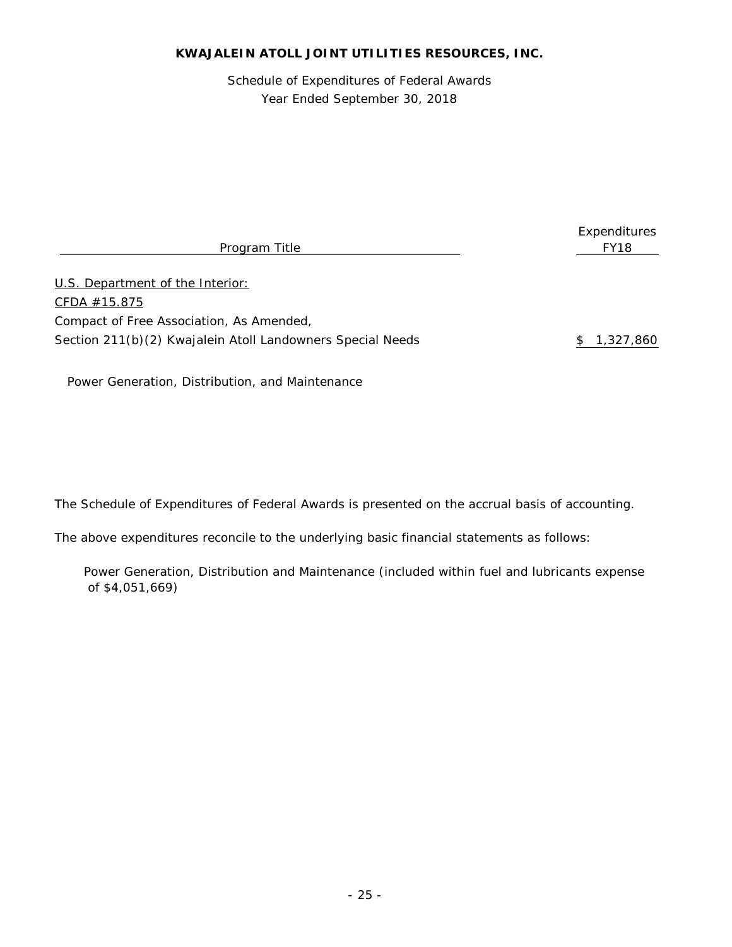Schedule of Expenditures of Federal Awards Year Ended September 30, 2018

| Program Title                                              | Expenditures<br>FY <sub>18</sub> |
|------------------------------------------------------------|----------------------------------|
| U.S. Department of the Interior:                           |                                  |
| CFDA #15.875                                               |                                  |
| Compact of Free Association, As Amended,                   |                                  |
| Section 211(b)(2) Kwajalein Atoll Landowners Special Needs | 1,327,860<br>S.                  |
|                                                            |                                  |

Power Generation, Distribution, and Maintenance

The Schedule of Expenditures of Federal Awards is presented on the accrual basis of accounting.

The above expenditures reconcile to the underlying basic financial statements as follows:

 Power Generation, Distribution and Maintenance (included within fuel and lubricants expense of \$4,051,669)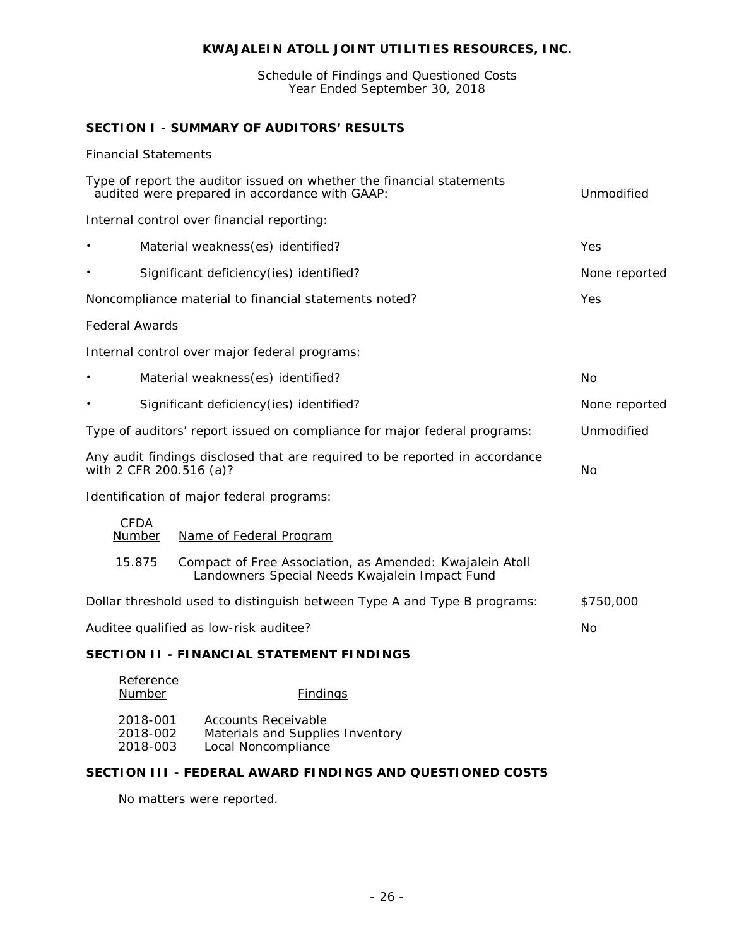Schedule of Findings and Questioned Costs Year Ended September 30, 2018

# **SECTION I - SUMMARY OF AUDITORS' RESULTS**

#### *Financial Statements*

| Type of report the auditor issued on whether the financial statements<br>audited were prepared in accordance with GAAP: |                                                                                                                      | Unmodified    |  |
|-------------------------------------------------------------------------------------------------------------------------|----------------------------------------------------------------------------------------------------------------------|---------------|--|
|                                                                                                                         | Internal control over financial reporting:                                                                           |               |  |
| ٠                                                                                                                       | Material weakness(es) identified?                                                                                    | Yes           |  |
|                                                                                                                         | Significant deficiency(ies) identified?                                                                              | None reported |  |
| Noncompliance material to financial statements noted?<br>Yes                                                            |                                                                                                                      |               |  |
|                                                                                                                         | <b>Federal Awards</b>                                                                                                |               |  |
|                                                                                                                         | Internal control over major federal programs:                                                                        |               |  |
| Material weakness(es) identified?                                                                                       |                                                                                                                      | No            |  |
| ٠                                                                                                                       | None reported                                                                                                        |               |  |
| Type of auditors' report issued on compliance for major federal programs:<br>Unmodified                                 |                                                                                                                      |               |  |
| Any audit findings disclosed that are required to be reported in accordance<br>with 2 CFR 200.516 (a)?                  | No                                                                                                                   |               |  |
|                                                                                                                         | Identification of major federal programs:                                                                            |               |  |
|                                                                                                                         | <b>CFDA</b><br>Number<br>Name of Federal Program                                                                     |               |  |
|                                                                                                                         | 15.875<br>Compact of Free Association, as Amended: Kwajalein Atoll<br>Landowners Special Needs Kwajalein Impact Fund |               |  |
|                                                                                                                         | Dollar threshold used to distinguish between Type A and Type B programs:                                             | \$750,000     |  |
| Auditee qualified as low-risk auditee?<br>No                                                                            |                                                                                                                      |               |  |
| <b>SECTION II - FINANCIAL STATEMENT FINDINGS</b>                                                                        |                                                                                                                      |               |  |
|                                                                                                                         | Reference                                                                                                            |               |  |

| <b>Number</b> | <b>Findings</b>                  |
|---------------|----------------------------------|
| 2018-001      | Accounts Receivable              |
| 2018-002      | Materials and Supplies Inventory |
| 2018-003      | Local Noncompliance              |

# **SECTION III - FEDERAL AWARD FINDINGS AND QUESTIONED COSTS**

No matters were reported.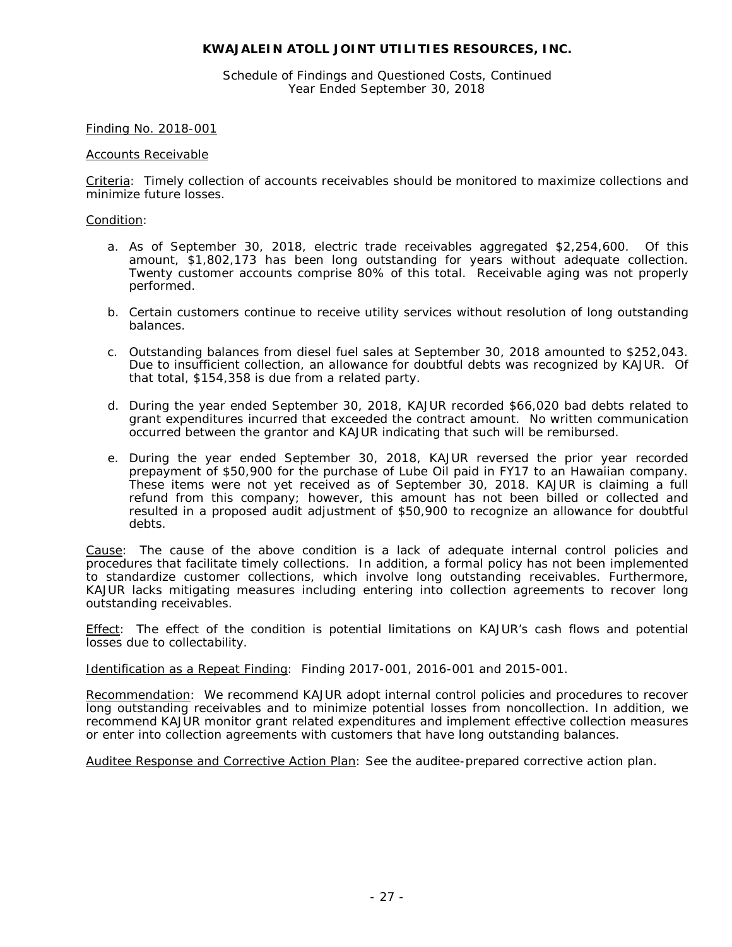Schedule of Findings and Questioned Costs, Continued Year Ended September 30, 2018

#### Finding No. 2018-001

#### Accounts Receivable

Criteria: Timely collection of accounts receivables should be monitored to maximize collections and minimize future losses.

#### Condition:

- a. As of September 30, 2018, electric trade receivables aggregated \$2,254,600. Of this amount, \$1,802,173 has been long outstanding for years without adequate collection. Twenty customer accounts comprise 80% of this total. Receivable aging was not properly performed.
- b. Certain customers continue to receive utility services without resolution of long outstanding balances.
- c. Outstanding balances from diesel fuel sales at September 30, 2018 amounted to \$252,043. Due to insufficient collection, an allowance for doubtful debts was recognized by KAJUR. Of that total, \$154,358 is due from a related party.
- d. During the year ended September 30, 2018, KAJUR recorded \$66,020 bad debts related to grant expenditures incurred that exceeded the contract amount. No written communication occurred between the grantor and KAJUR indicating that such will be remibursed.
- e. During the year ended September 30, 2018, KAJUR reversed the prior year recorded prepayment of \$50,900 for the purchase of Lube Oil paid in FY17 to an Hawaiian company. These items were not yet received as of September 30, 2018. KAJUR is claiming a full refund from this company; however, this amount has not been billed or collected and resulted in a proposed audit adjustment of \$50,900 to recognize an allowance for doubtful debts.

Cause: The cause of the above condition is a lack of adequate internal control policies and procedures that facilitate timely collections. In addition, a formal policy has not been implemented to standardize customer collections, which involve long outstanding receivables. Furthermore, KAJUR lacks mitigating measures including entering into collection agreements to recover long outstanding receivables.

Effect: The effect of the condition is potential limitations on KAJUR's cash flows and potential losses due to collectability.

Identification as a Repeat Finding: Finding 2017-001, 2016-001 and 2015-001.

Recommendation: We recommend KAJUR adopt internal control policies and procedures to recover long outstanding receivables and to minimize potential losses from noncollection. In addition, we recommend KAJUR monitor grant related expenditures and implement effective collection measures or enter into collection agreements with customers that have long outstanding balances.

Auditee Response and Corrective Action Plan: See the auditee-prepared corrective action plan.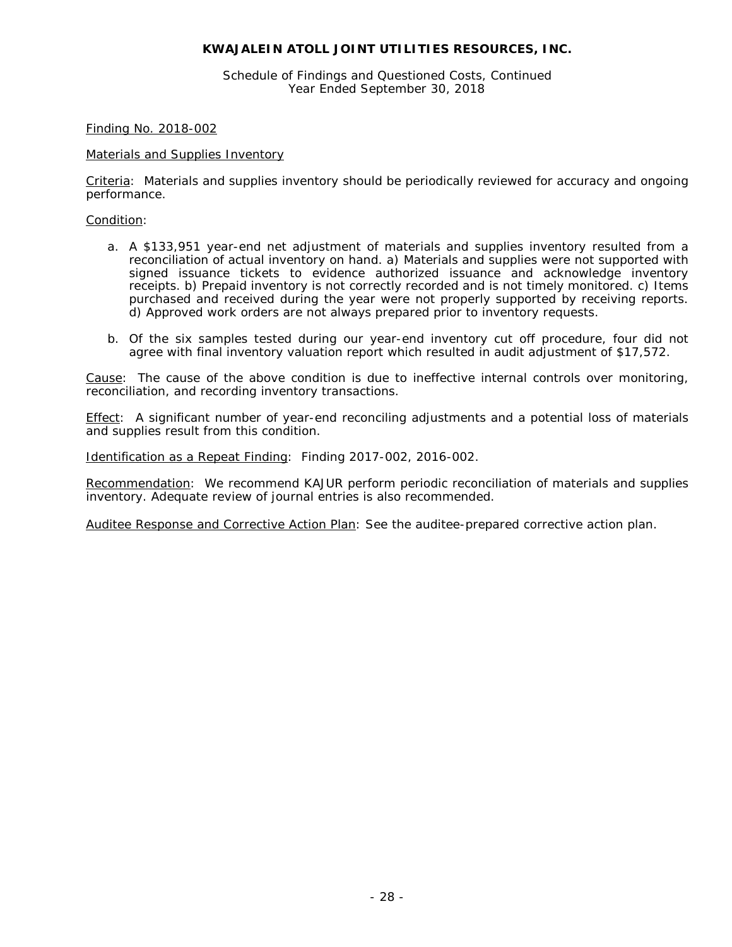Schedule of Findings and Questioned Costs, Continued Year Ended September 30, 2018

#### Finding No. 2018-002

#### Materials and Supplies Inventory

Criteria: Materials and supplies inventory should be periodically reviewed for accuracy and ongoing performance.

#### Condition:

- a. A \$133,951 year-end net adjustment of materials and supplies inventory resulted from a reconciliation of actual inventory on hand. a) Materials and supplies were not supported with signed issuance tickets to evidence authorized issuance and acknowledge inventory receipts. b) Prepaid inventory is not correctly recorded and is not timely monitored. c) Items purchased and received during the year were not properly supported by receiving reports. d) Approved work orders are not always prepared prior to inventory requests.
- b. Of the six samples tested during our year-end inventory cut off procedure, four did not agree with final inventory valuation report which resulted in audit adjustment of \$17,572.

Cause: The cause of the above condition is due to ineffective internal controls over monitoring, reconciliation, and recording inventory transactions.

Effect: A significant number of year-end reconciling adjustments and a potential loss of materials and supplies result from this condition.

Identification as a Repeat Finding: Finding 2017-002, 2016-002.

Recommendation: We recommend KAJUR perform periodic reconciliation of materials and supplies inventory. Adequate review of journal entries is also recommended.

Auditee Response and Corrective Action Plan: See the auditee-prepared corrective action plan.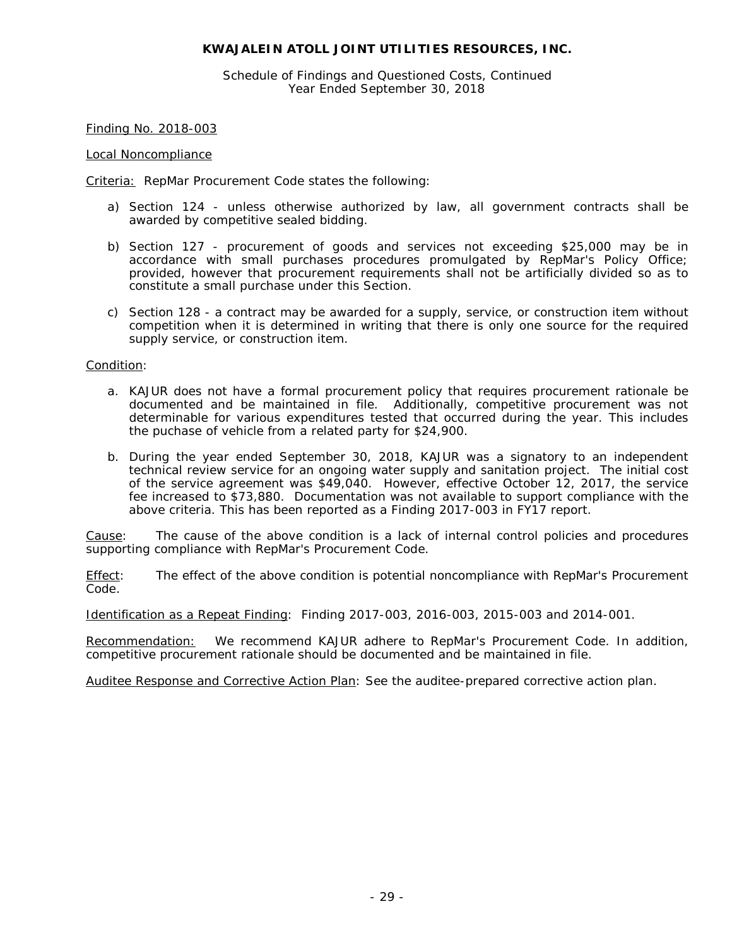Schedule of Findings and Questioned Costs, Continued Year Ended September 30, 2018

Finding No. 2018-003

#### Local Noncompliance

Criteria: RepMar Procurement Code states the following:

- a) Section 124 unless otherwise authorized by law, all government contracts shall be awarded by competitive sealed bidding.
- b) Section 127 procurement of goods and services not exceeding \$25,000 may be in accordance with small purchases procedures promulgated by RepMar's Policy Office; provided, however that procurement requirements shall not be artificially divided so as to constitute a small purchase under this Section.
- c) Section 128 a contract may be awarded for a supply, service, or construction item without competition when it is determined in writing that there is only one source for the required supply service, or construction item.

#### Condition:

- a. KAJUR does not have a formal procurement policy that requires procurement rationale be documented and be maintained in file. Additionally, competitive procurement was not determinable for various expenditures tested that occurred during the year. This includes the puchase of vehicle from a related party for \$24,900.
- b. During the year ended September 30, 2018, KAJUR was a signatory to an independent technical review service for an ongoing water supply and sanitation project. The initial cost of the service agreement was \$49,040. However, effective October 12, 2017, the service fee increased to \$73,880. Documentation was not available to support compliance with the above criteria. This has been reported as a Finding 2017-003 in FY17 report.

Cause: The cause of the above condition is a lack of internal control policies and procedures supporting compliance with RepMar's Procurement Code.

Effect: The effect of the above condition is potential noncompliance with RepMar's Procurement Code.

Identification as a Repeat Finding: Finding 2017-003, 2016-003, 2015-003 and 2014-001.

Recommendation: We recommend KAJUR adhere to RepMar's Procurement Code. In addition, competitive procurement rationale should be documented and be maintained in file.

Auditee Response and Corrective Action Plan: See the auditee-prepared corrective action plan.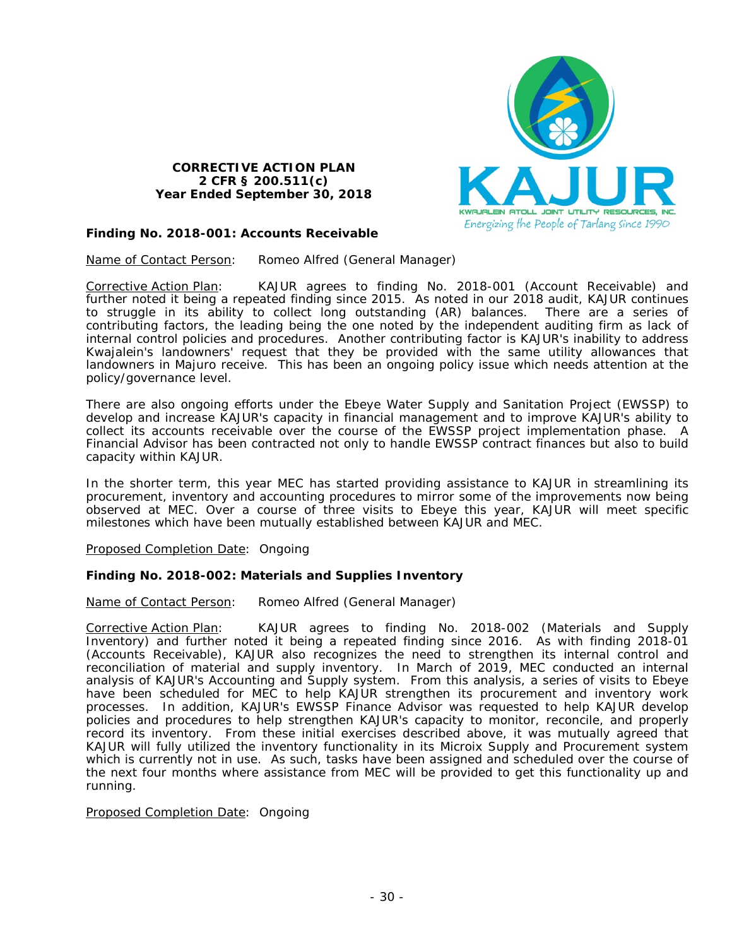

#### **CORRECTIVE ACTION PLAN 2 CFR § 200.511(c) Year Ended September 30, 2018**

#### **Finding No. 2018-001: Accounts Receivable**

Name of Contact Person: Romeo Alfred (General Manager)

Corrective Action Plan: KAJUR agrees to finding No. 2018-001 (Account Receivable) and further noted it being a repeated finding since 2015. As noted in our 2018 audit, KAJUR continues to struggle in its ability to collect long outstanding (AR) balances. There are a series of contributing factors, the leading being the one noted by the independent auditing firm as lack of internal control policies and procedures. Another contributing factor is KAJUR's inability to address Kwajalein's landowners' request that they be provided with the same utility allowances that landowners in Majuro receive. This has been an ongoing policy issue which needs attention at the policy/governance level.

There are also ongoing efforts under the Ebeye Water Supply and Sanitation Project (EWSSP) to develop and increase KAJUR's capacity in financial management and to improve KAJUR's ability to collect its accounts receivable over the course of the EWSSP project implementation phase. A Financial Advisor has been contracted not only to handle EWSSP contract finances but also to build capacity within KAJUR.

In the shorter term, this year MEC has started providing assistance to KAJUR in streamlining its procurement, inventory and accounting procedures to mirror some of the improvements now being observed at MEC. Over a course of three visits to Ebeye this year, KAJUR will meet specific milestones which have been mutually established between KAJUR and MEC.

Proposed Completion Date: Ongoing

#### **Finding No. 2018-002: Materials and Supplies Inventory**

Name of Contact Person: Romeo Alfred (General Manager)

Corrective Action Plan: KAJUR agrees to finding No. 2018-002 (Materials and Supply Inventory) and further noted it being a repeated finding since 2016. As with finding 2018-01 (Accounts Receivable), KAJUR also recognizes the need to strengthen its internal control and reconciliation of material and supply inventory. In March of 2019, MEC conducted an internal analysis of KAJUR's Accounting and Supply system. From this analysis, a series of visits to Ebeye have been scheduled for MEC to help KAJUR strengthen its procurement and inventory work processes. In addition, KAJUR's EWSSP Finance Advisor was requested to help KAJUR develop policies and procedures to help strengthen KAJUR's capacity to monitor, reconcile, and properly record its inventory. From these initial exercises described above, it was mutually agreed that KAJUR will fully utilized the inventory functionality in its Microix Supply and Procurement system which is currently not in use. As such, tasks have been assigned and scheduled over the course of the next four months where assistance from MEC will be provided to get this functionality up and running.

Proposed Completion Date: Ongoing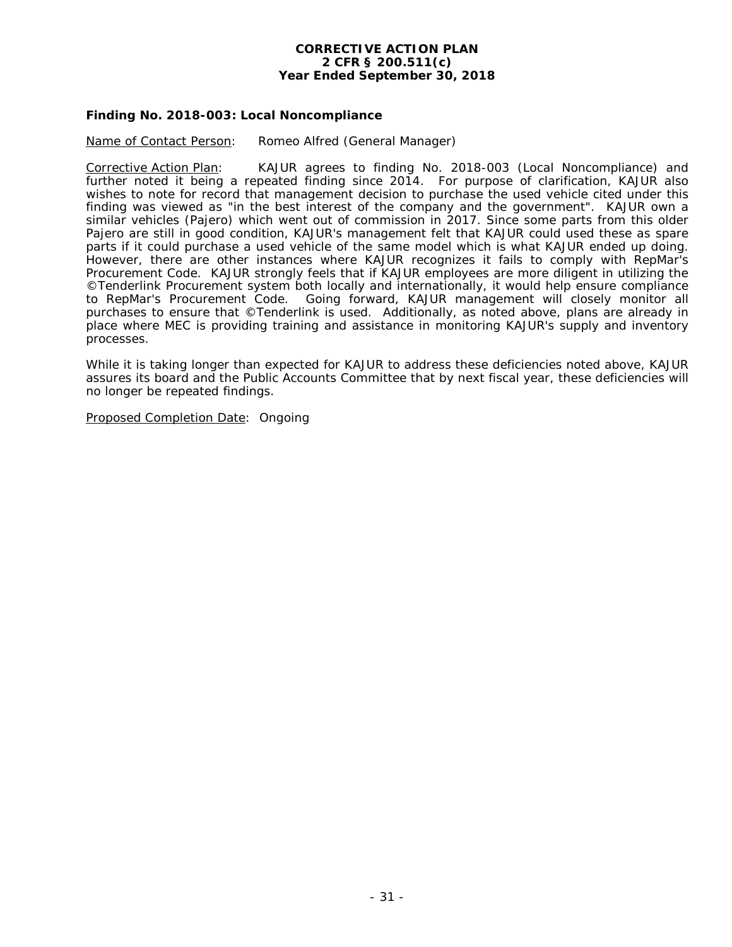#### **CORRECTIVE ACTION PLAN 2 CFR § 200.511(c) Year Ended September 30, 2018**

#### **Finding No. 2018-003: Local Noncompliance**

Name of Contact Person: Romeo Alfred (General Manager)

Corrective Action Plan: KAJUR agrees to finding No. 2018-003 (Local Noncompliance) and further noted it being a repeated finding since 2014. For purpose of clarification, KAJUR also wishes to note for record that management decision to purchase the used vehicle cited under this finding was viewed as "in the best interest of the company and the government". KAJUR own a similar vehicles (Pajero) which went out of commission in 2017. Since some parts from this older Pajero are still in good condition, KAJUR's management felt that KAJUR could used these as spare parts if it could purchase a used vehicle of the same model which is what KAJUR ended up doing. However, there are other instances where KAJUR recognizes it fails to comply with RepMar's Procurement Code. KAJUR strongly feels that if KAJUR employees are more diligent in utilizing the ©Tenderlink Procurement system both locally and internationally, it would help ensure compliance to RepMar's Procurement Code. Going forward, KAJUR management will closely monitor all purchases to ensure that ©Tenderlink is used. Additionally, as noted above, plans are already in place where MEC is providing training and assistance in monitoring KAJUR's supply and inventory processes.

While it is taking longer than expected for KAJUR to address these deficiencies noted above, KAJUR assures its board and the Public Accounts Committee that by next fiscal year, these deficiencies will no longer be repeated findings.

Proposed Completion Date: Ongoing